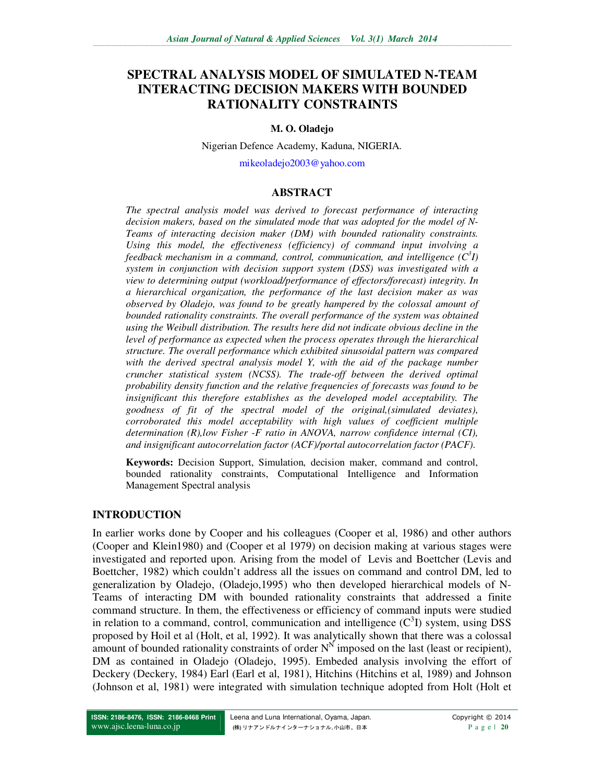# **SPECTRAL ANALYSIS MODEL OF SIMULATED N-TEAM INTERACTING DECISION MAKERS WITH BOUNDED RATIONALITY CONSTRAINTS**

### **M. O. Oladejo**

Nigerian Defence Academy, Kaduna, NIGERIA.

mikeoladejo2003@yahoo.com

# **ABSTRACT**

*The spectral analysis model was derived to forecast performance of interacting decision makers, based on the simulated mode that was adopted for the model of N-Teams of interacting decision maker (DM) with bounded rationality constraints. Using this model, the effectiveness (efficiency) of command input involving a feedback mechanism in a command, control, communication, and intelligence (C<sup>3</sup> I) system in conjunction with decision support system (DSS) was investigated with a view to determining output (workload/performance of effectors/forecast) integrity. In a hierarchical organization, the performance of the last decision maker as was observed by Oladejo, was found to be greatly hampered by the colossal amount of bounded rationality constraints. The overall performance of the system was obtained using the Weibull distribution. The results here did not indicate obvious decline in the level of performance as expected when the process operates through the hierarchical structure. The overall performance which exhibited sinusoidal pattern was compared with the derived spectral analysis model Y, with the aid of the package number cruncher statistical system (NCSS). The trade-off between the derived optimal probability density function and the relative frequencies of forecasts was found to be insignificant this therefore establishes as the developed model acceptability. The goodness of fit of the spectral model of the original,(simulated deviates), corroborated this model acceptability with high values of coefficient multiple determination (R),low Fisher -F ratio in ANOVA, narrow confidence internal (CI), and insignificant autocorrelation factor (ACF)/portal autocorrelation factor (PACF).* 

**Keywords:** Decision Support, Simulation, decision maker, command and control, bounded rationality constraints, Computational Intelligence and Information Management Spectral analysis

### **INTRODUCTION**

In earlier works done by Cooper and his colleagues (Cooper et al, 1986) and other authors (Cooper and Klein1980) and (Cooper et al 1979) on decision making at various stages were investigated and reported upon. Arising from the model of Levis and Boettcher (Levis and Boettcher, 1982) which couldn't address all the issues on command and control DM, led to generalization by Oladejo, (Oladejo,1995) who then developed hierarchical models of N-Teams of interacting DM with bounded rationality constraints that addressed a finite command structure. In them, the effectiveness or efficiency of command inputs were studied in relation to a command, control, communication and intelligence  $(C<sup>3</sup>I)$  system, using DSS proposed by Hoil et al (Holt, et al, 1992). It was analytically shown that there was a colossal amount of bounded rationality constraints of order  $N<sup>N</sup>$  imposed on the last (least or recipient), DM as contained in Oladejo (Oladejo, 1995). Embeded analysis involving the effort of Deckery (Deckery, 1984) Earl (Earl et al, 1981), Hitchins (Hitchins et al, 1989) and Johnson (Johnson et al, 1981) were integrated with simulation technique adopted from Holt (Holt et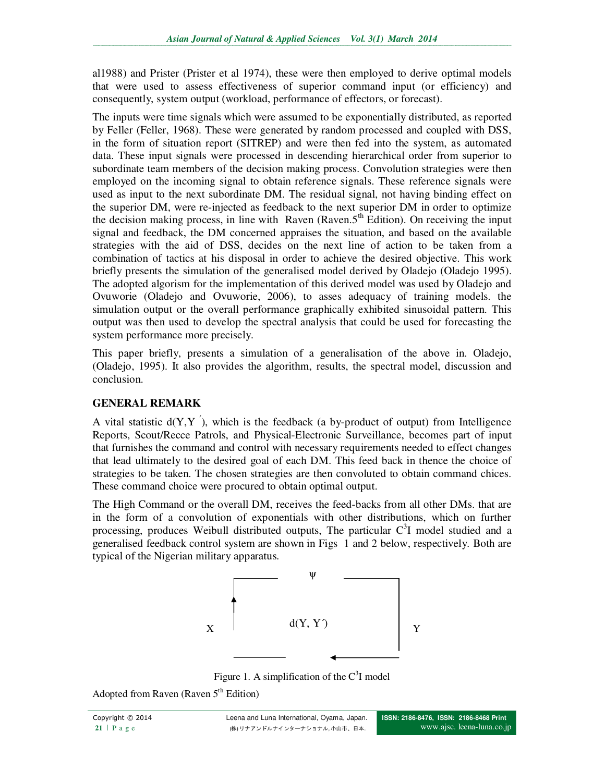al1988) and Prister (Prister et al 1974), these were then employed to derive optimal models that were used to assess effectiveness of superior command input (or efficiency) and consequently, system output (workload, performance of effectors, or forecast).

The inputs were time signals which were assumed to be exponentially distributed, as reported by Feller (Feller, 1968). These were generated by random processed and coupled with DSS, in the form of situation report (SITREP) and were then fed into the system, as automated data. These input signals were processed in descending hierarchical order from superior to subordinate team members of the decision making process. Convolution strategies were then employed on the incoming signal to obtain reference signals. These reference signals were used as input to the next subordinate DM. The residual signal, not having binding effect on the superior DM, were re-injected as feedback to the next superior DM in order to optimize the decision making process, in line with Raven (Raven.5<sup>th</sup> Edition). On receiving the input signal and feedback, the DM concerned appraises the situation, and based on the available strategies with the aid of DSS, decides on the next line of action to be taken from a combination of tactics at his disposal in order to achieve the desired objective. This work briefly presents the simulation of the generalised model derived by Oladejo (Oladejo 1995). The adopted algorism for the implementation of this derived model was used by Oladejo and Ovuworie (Oladejo and Ovuworie, 2006), to asses adequacy of training models. the simulation output or the overall performance graphically exhibited sinusoidal pattern. This output was then used to develop the spectral analysis that could be used for forecasting the system performance more precisely.

This paper briefly, presents a simulation of a generalisation of the above in. Oladejo, (Oladejo, 1995). It also provides the algorithm, results, the spectral model, discussion and conclusion.

# **GENERAL REMARK**

A vital statistic  $d(Y, Y)$ , which is the feedback (a by-product of output) from Intelligence Reports, Scout/Recce Patrols, and Physical-Electronic Surveillance, becomes part of input that furnishes the command and control with necessary requirements needed to effect changes that lead ultimately to the desired goal of each DM. This feed back in thence the choice of strategies to be taken. The chosen strategies are then convoluted to obtain command chices. These command choice were procured to obtain optimal output.

The High Command or the overall DM, receives the feed-backs from all other DMs. that are in the form of a convolution of exponentials with other distributions, which on further processing, produces Weibull distributed outputs, The particular  $C<sup>3</sup>I$  model studied and a generalised feedback control system are shown in Figs 1 and 2 below, respectively. Both are typical of the Nigerian military apparatus.



Figure 1. A simplification of the  $C<sup>3</sup>I$  model

Adopted from Raven (Raven  $5<sup>th</sup>$  Edition)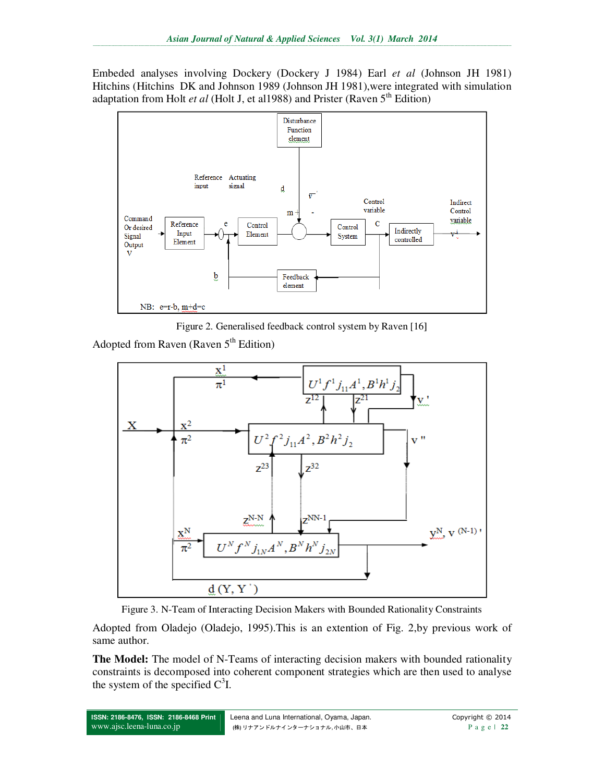Embeded analyses involving Dockery (Dockery J 1984) Earl *et al* (Johnson JH 1981) Hitchins (Hitchins DK and Johnson 1989 (Johnson JH 1981),were integrated with simulation adaptation from Holt *et al* (Holt J, et al1988) and Prister (Raven 5<sup>th</sup> Edition)



Figure 2. Generalised feedback control system by Raven [16]

Adopted from Raven (Raven  $5<sup>th</sup>$  Edition)





Adopted from Oladejo (Oladejo, 1995).This is an extention of Fig. 2,by previous work of same author.

**The Model:** The model of N-Teams of interacting decision makers with bounded rationality constraints is decomposed into coherent component strategies which are then used to analyse the system of the specified  $C^3I$ .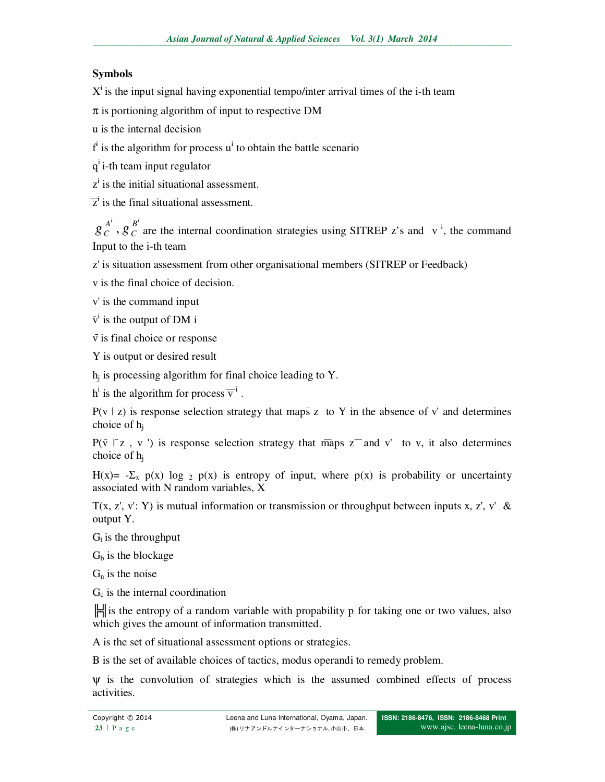# **Symbols**

 $X<sup>i</sup>$  is the input signal having exponential tempo/inter arrival times of the i-th team

 $\pi$  is portioning algorithm of input to respective DM

u is the internal decision

 $f^i$  is the algorithm for process  $u^i$  to obtain the battle scenario

q<sup>i</sup> i-th team input regulator

 $z<sup>i</sup>$  is the initial situational assessment.

 $\overline{z}^{\dagger}$  is the final situational assessment.

 $\sum_{i=1}^{i} B^{i}$ *C*  $g_C^{A'}$ ,  $g_C^{B'}$  are the internal coordination strategies using SITREP z's and  $\overline{v}^i$ , the command Input to the i-th team

z' is situation assessment from other organisational members (SITREP or Feedback)

v is the final choice of decision.

v' is the command input

 $\bar{v}^i$  is the output of DM i

 $\overline{v}$  is final choice or response

Y is output or desired result

 $h_j$  is processing algorithm for final choice leading to Y.

 $h^i$  is the algorithm for process  $\overline{v}^i$ .

 $P(v | z)$  is response selection strategy that maps z to Y in the absence of v' and determines choice of  $h_i$ 

 $P(\bar{v} \mid z, v')$  is response selection strategy that maps  $z^-$  and v' to v, it also determines choice of h<sup>j</sup>

H(x)=  $-\Sigma_x$  p(x) log 2 p(x) is entropy of input, where p(x) is probability or uncertainty associated with N random variables, X

 $T(x, z', y'; Y)$  is mutual information or transmission or throughput between inputs x, z', y' & output Y.

 $G_t$  is the throughput

 $G<sub>b</sub>$  is the blockage

 $G_n$  is the noise

 $G<sub>c</sub>$  is the internal coordination

 $\mathbb{H}$  is the entropy of a random variable with propability p for taking one or two values, also which gives the amount of information transmitted.

A is the set of situational assessment options or strategies.

B is the set of available choices of tactics, modus operandi to remedy problem.

ψ is the convolution of strategies which is the assumed combined effects of process activities.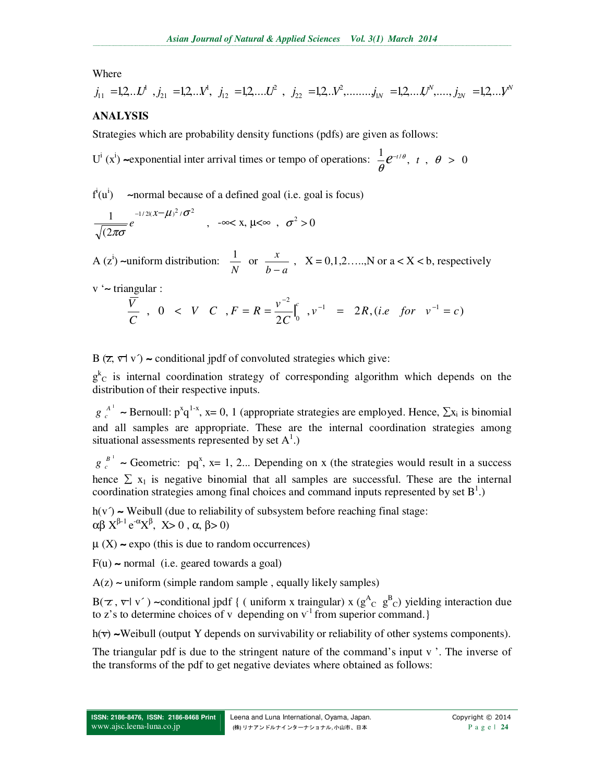### Where

$$
j_{11} = 1,2...L^d
$$
,  $j_{21} = 1,2...L^d$ ,  $j_{12} = 1,2,...L^2$ ,  $j_{22} = 1,2...L^2$ ,  $...$ ,  $j_{1N} = 1,2,...L^N$ ,  $...$ ,  $j_{2N} = 1,2...L^N$ 

# **ANALYSIS**

Strategies which are probability density functions (pdfs) are given as follows:

U<sup>i</sup> (x<sup>i</sup>) ~exponential inter arrival times or tempo of operations:  $\frac{1}{e}e^{-t/\theta}$ , t,  $\theta > 0$ θ  $e^{-t/\theta}$ , *t* 

 $f^i(u^i)$ ) ∼normal because of a defined goal (i.e. goal is focus)

$$
\frac{1}{\sqrt{(2\pi\sigma}}e^{-1/2((x-\mu)^2/\sigma^2)}, \quad -\infty < x, \, \mu < \infty \, , \, \sigma^2 > 0
$$

A  $(z^i)$  ~uniform distribution: *N*  $\frac{1}{\sqrt{1}}$  or  $b - a$ *x* −  $X = 0,1,2,...,N$  or  $a < X < b$ , respectively

v '∼ triangular :

$$
\frac{\overline{V}}{C}, \ 0 \ < \ V \ C, \ F = R = \frac{v^{-2}}{2C} \int_0^c v^{-1} = 2R, \text{ (i.e. for } v^{-1} = c)
$$

B  $(\overline{z}, \overline{v} \mid v')$  ~ conditional jpdf of convoluted strategies which give:

 $g<sup>k</sup>c$  is internal coordination strategy of corresponding algorithm which depends on the distribution of their respective inputs.

 $g_c^{A^1}$  ~ Bernoull:  $p^xq^{1-x}$ , x= 0, 1 (appropriate strategies are employed. Hence,  $\sum x_i$  is binomial and all samples are appropriate. These are the internal coordination strategies among situational assessments represented by set  $A^1$ .)

 $g e^{-B^{-1}}$  ~ Geometric: pq<sup>x</sup>, x= 1, 2... Depending on x (the strategies would result in a success hence  $\Sigma$  x<sub>1</sub> is negative binomial that all samples are successful. These are the internal coordination strategies among final choices and command inputs represented by set  $B^1$ .)

h(v´) ∼ Weibull (due to reliability of subsystem before reaching final stage:  $\alpha\beta X^{\beta-1} e^{-\alpha} X^{\beta}$ ,  $X>0$ ,  $\alpha, \beta>0$ )

 $\mu$  (X) ~ expo (this is due to random occurrences)

F(u) ∼ normal (i.e. geared towards a goal)

A(z) ∼ uniform (simple random sample , equally likely samples)

B( $\tau$ ,  $\nabla$ | v´) ~conditional jpdf { ( uniform x traingular) x ( $g^A_C$   $g^B_C$ ) yielding interaction due to z's to determine choices of v depending on  $v<sup>-1</sup>$  from superior command.}

h(v) ∼Weibull (output Y depends on survivability or reliability of other systems components).

The triangular pdf is due to the stringent nature of the command's input v '. The inverse of the transforms of the pdf to get negative deviates where obtained as follows: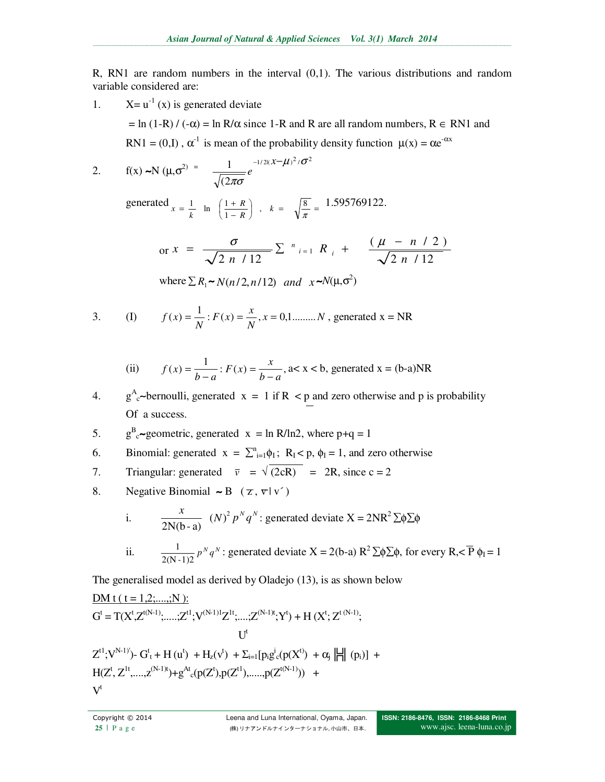R, RN1 are random numbers in the interval (0,1). The various distributions and random variable considered are:

1.  $X = u^{-1}(x)$  is generated deviate

 $=$  ln (1-R) / (- $\alpha$ ) = ln R/ $\alpha$  since 1-R and R are all random numbers, R  $\in$  RN1 and RN1 =  $(0,I)$ ,  $\alpha^{-1}$  is mean of the probability density function  $\mu(x) = \alpha e^{-\alpha x}$ 

2. 
$$
f(x) \sim N (\mu, \sigma^2) = \frac{1}{\sqrt{(2\pi\sigma)}} e^{-1/2((x-\mu)^2/\sigma^2)}
$$

generated  $x = \frac{1}{k}$  in  $\left(\frac{1+R}{1-R}\right)$ ,  $k = \sqrt{\frac{8}{\pi}}$  $\left(\frac{1+R}{1-R}\right)$ ſ −  $=\frac{1}{k}$  ln  $\left(\frac{1+R}{1-R}\right)$ ,  $k = \sqrt{\frac{8}{\pi}}$  $\frac{1+R}{1-R}$ ,  $k = \sqrt{\frac{8}{\pi}}$  $\frac{1}{k}$  ln  $\left(\frac{1+R}{1-R}\right)$ , k *R*  $x = \frac{1}{k}$  ln  $\left(\frac{1+R}{1-R}\right)$ ,  $k = \sqrt{\frac{8}{\pi}} = \frac{1.595769122.$ 

or 
$$
x = \frac{\sigma}{\sqrt{2 n / 12}} \sum_{i=1}^{n} R_i + \frac{(\mu - n / 2)}{\sqrt{2 n / 12}}
$$

where  $\sum R_1 \sim N(n/2, n/12)$  and  $x \sim N(\mu, \sigma^2)$ 

3. (I) 
$$
f(x) = \frac{1}{N}
$$
:  $F(x) = \frac{x}{N}$ ,  $x = 0,1$ ........*N*, generated  $x = NR$ 

(ii) 
$$
f(x) = \frac{1}{b-a}
$$
:  $F(x) = \frac{x}{b-a}$ ,  $a < x < b$ , generated  $x = (b-a)NR$ 

4. g<sup>A</sup><sub>c</sub>∼bernoulli, generated  $x = 1$  if R < p and zero otherwise and p is probability Of a success.

- 5.  $g^B_c$ ~geometric, generated  $x = \ln R/\ln 2$ , where  $p+q = 1$
- 6. Binomial: generated  $x = \sum_{i=1}^{n} \phi_i$ ;  $R_i < p$ ,  $\phi_i = 1$ , and zero otherwise
- 7. Triangular: generated  $\overline{v} = \sqrt{2cR} = 2R$ , since c = 2
- 8. Negative Binomial ∼ B ( $\overline{z}$ ,  $\nabla |v\rangle$ )

i. 
$$
\frac{x}{2N(b-a)} (N)^2 p^N q^N
$$
: generated deviate  $X = 2NR^2 \sum \phi \sum \phi$   
ii. 
$$
\frac{1}{2(N-1)2} p^N q^N
$$
: generated deviate  $X = 2(b-a) R^2 \sum \phi \sum \phi$ , for every  $R, \langle \overline{P} \phi \rangle = 1$ 

The generalised model as derived by Oladejo (13), is as shown below

$$
\begin{aligned} &\frac{DM\; t\; (\;t=1,2;....;N\; ):}{G^t=T(X^t,Z^{t(N\!-\!1)};\!......;Z^{t!};V^{(N\!-\!1)1}Z^{1t};\!....;Z^{(N\!-\!1)t};Y^t)+H\;(X^t;Z^{t\;(N\!-\!1)};\\ &\qquad \qquad U^t\\ &\qquad \qquad Z^{t1};V^{N\!-\!1)}\!)-G^t_{\;t}+H\;(u^t)\;+H_z(v^t)\;+ \Sigma_{i=1}[\,p_ig^i{}_c(p(X^t)\;)+\alpha_j\left\|\left\|\right\|(p_i)\right]\;+\\ &\qquad \qquad H(Z^t,Z^{1t},\!....,z^{(N\!-\!1)t})\!+\!g^{At}{}_c(p(Z^t),\!p(Z^{t1}),\!....,p(Z^{t(N\!-\!1)}))\;\;+\end{aligned}
$$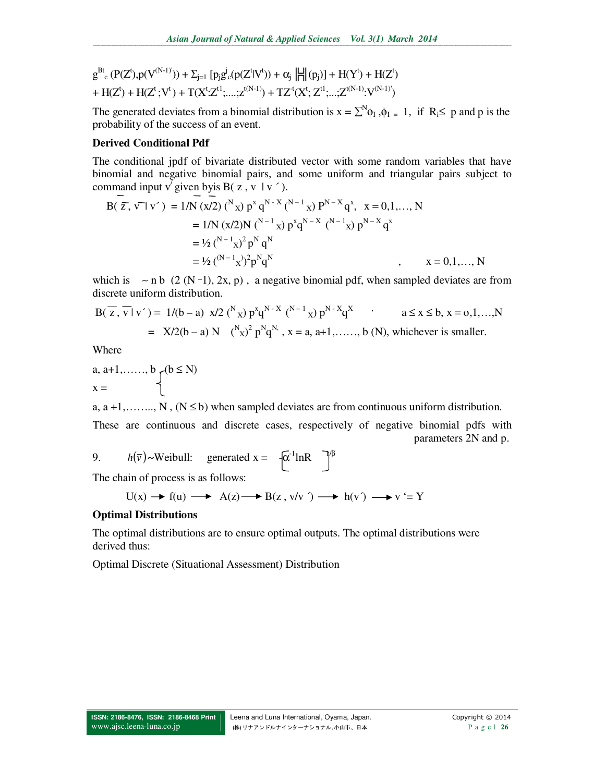$$
\begin{aligned} & g^{Bt}{}_{c} \left( P(Z^t), p(V^{(N-1)^i}) \right) + \Sigma_{j=1} \left[ p_j g^j{}_{c} ( p(Z^t | V^t) ) + \alpha_j \left\| \frac{1}{H} \right| (p_j) \right] + H(Y^t) + H(Z^t) \\ & + H(Z^t) + H(Z^t; V^t) + T(X^t; Z^{t1}; \dots; Z^{t(N-1)}) + T Z^t (X^t; Z^{t1}; \dots; Z^{t(N-1)}; V^{(N-1)}) \end{aligned}
$$

The generated deviates from a binomial distribution is  $x = \sum^{N} \phi_{I}$ ,  $\phi_{I} = 1$ , if  $R_i \leq p$  and p is the probability of the success of an event.

### **Derived Conditional Pdf**

The conditional jpdf of bivariate distributed vector with some random variables that have binomial and negative binomial pairs, and some uniform and triangular pairs subject to command input v' given byis B( $z, v \mid v'$ ).

$$
B(\overline{z}, \overline{v} | v') = 1/N (x/2) \binom{N}{x} p^x q^{N-X} \binom{N-1}{x} P^{N-X} q^x, \quad x = 0, 1, ..., N
$$
  
\n
$$
= 1/N (x/2)N \binom{N-1}{x} p^x q^{N-X} \binom{N-1}{x} p^{N-X} q^x
$$
  
\n
$$
= \frac{1}{2} \binom{N-1}{x} p^N q^N
$$
  
\n
$$
= \frac{1}{2} \binom{(N-1)}{x} p^N q^N
$$
  
\n
$$
= 0, 1, ..., N
$$

which is  $~\sim$  n b (2 (N -1), 2x, p), a negative binomial pdf, when sampled deviates are from discrete uniform distribution.

$$
B(\overline{z}, \overline{v} | v') = 1/(b - a) x/2 {N \choose x} p^x q^{N-X} {N-1 \choose x} p^{N-X} q^X
$$
   
  $a \le x \le b, x = 0, 1, ..., N$   

$$
= X/2(b - a) N {N \choose x}^2 p^N q^N, x = a, a+1, ..., b (N), \text{ whichever is smaller.}
$$

Where

a, a+1,......, b  

$$
x = \begin{cases} (b \le N) \\ 1 \end{cases}
$$

a,  $a + 1, \ldots, N$ ,  $(N \le b)$  when sampled deviates are from continuous uniform distribution.

These are continuous and discrete cases, respectively of negative binomial pdfs with parameters 2N and p.

9.  $h(\overline{v}) \sim$ Weibull: generated x =  $-\sqrt{\alpha}$ <sup>-1</sup>lnR <sup>-1</sup><sup>/β</sup>

The chain of process is as follows:

$$
U(x) \xrightarrow{\ \ } f(u) \xrightarrow{\ \ } A(z) \xrightarrow{\ \ } B(z \, , \, v/v \, \ ) \xrightarrow{\ \ } h(v \, ) \xrightarrow{\ \ } v \stackrel{\leftarrow}{=} Y
$$

### **Optimal Distributions**

The optimal distributions are to ensure optimal outputs. The optimal distributions were derived thus:

Optimal Discrete (Situational Assessment) Distribution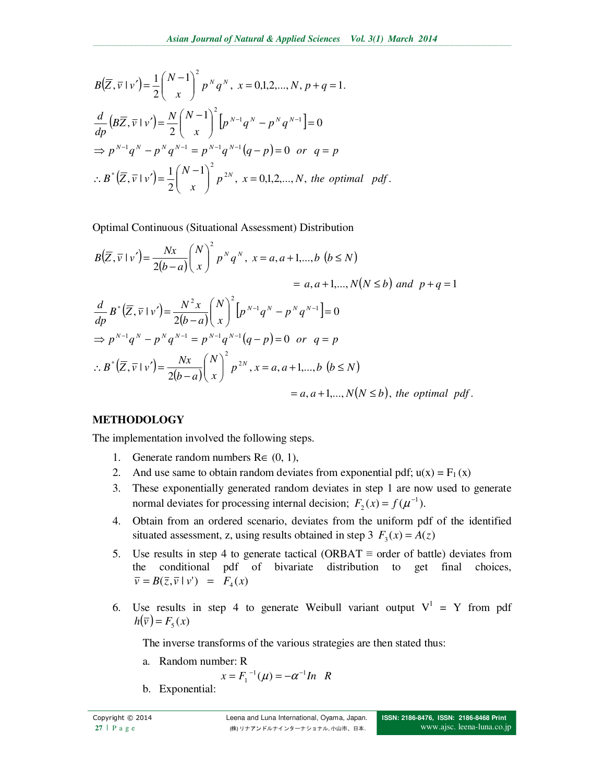$$
B(\overline{Z}, \overline{v} \mid v') = \frac{1}{2} {N-1 \choose x}^2 p^N q^N, \ x = 0,1,2,...,N, p+q=1.
$$
  

$$
\frac{d}{dp} (B\overline{Z}, \overline{v} \mid v') = \frac{N}{2} {N-1 \choose x}^2 [p^{N-1}q^N - p^N q^{N-1}] = 0
$$
  

$$
\Rightarrow p^{N-1}q^N - p^N q^{N-1} = p^{N-1}q^{N-1}(q-p) = 0 \text{ or } q=p
$$
  

$$
\therefore B^* (\overline{Z}, \overline{v} \mid v') = \frac{1}{2} {N-1 \choose x}^2 p^{2N}, \ x = 0,1,2,...,N, \ the \ optimal \ pdf.
$$

Optimal Continuous (Situational Assessment) Distribution

$$
B(\overline{Z}, \overline{v} \mid v') = \frac{Nx}{2(b-a)} \left(\frac{N}{x}\right)^2 p^N q^N, \ x = a, a+1,...,b \ (b \le N)
$$
  
\n
$$
= a, a+1,...,N(N \le b) \ and \ p+q = 1
$$
  
\n
$$
\frac{d}{dp} B^* (\overline{Z}, \overline{v} \mid v') = \frac{N^2 x}{2(b-a)} \left(\frac{N}{x}\right)^2 \left[p^{N-1} q^N - p^N q^{N-1}\right] = 0
$$
  
\n
$$
\Rightarrow p^{N-1} q^N - p^N q^{N-1} = p^{N-1} q^{N-1} (q-p) = 0 \text{ or } q = p
$$
  
\n
$$
\therefore B^* (\overline{Z}, \overline{v} \mid v') = \frac{Nx}{2(b-a)} \left(\frac{N}{x}\right)^2 p^{2N}, \ x = a, a+1,...,b \ (b \le N)
$$
  
\n
$$
= a, a+1,...,N(N \le b), \ the \ optimal \ pdf.
$$

# **METHODOLOGY**

The implementation involved the following steps.

- 1. Generate random numbers  $\mathbf{R} \in (0, 1)$ ,
- 2. And use same to obtain random deviates from exponential pdf;  $u(x) = F_1(x)$
- 3. These exponentially generated random deviates in step 1 are now used to generate normal deviates for processing internal decision;  $F_2(x) = f(u^{-1})$ .
- 4. Obtain from an ordered scenario, deviates from the uniform pdf of the identified situated assessment, z, using results obtained in step 3  $F_3(x) = A(z)$
- 5. Use results in step 4 to generate tactical (ORBAT  $\equiv$  order of battle) deviates from the conditional pdf of bivariate distribution to get final choices,  $\overline{v} = B(\overline{z}, \overline{v} \mid v') = F_4(x)$
- 6. Use results in step 4 to generate Weibull variant output  $V^1 = Y$  from pdf  $h(\overline{v}) = F_5(x)$

The inverse transforms of the various strategies are then stated thus:

a. Random number: R

$$
x = F_1^{-1}(\mu) = -\alpha^{-1} \ln \, R
$$

b. Exponential: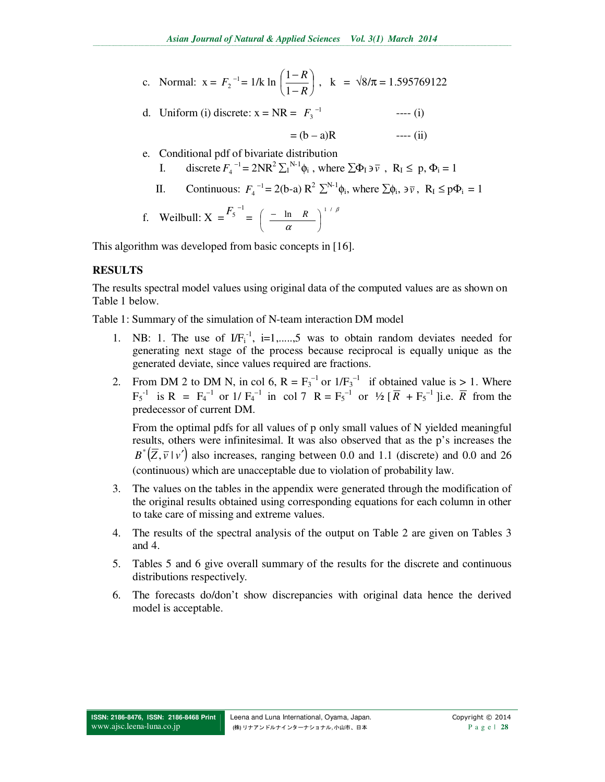c. Normal: 
$$
x = F_2^{-1} = 1/k \ln \left( \frac{1 - R}{1 - R} \right)
$$
,  $k = \sqrt{8/\pi} = 1.595769122$ 

d. Uniform (i) discrete:  $x = NR = F_3^{-1}$ <sup>−</sup> *F* ---- (i)

$$
= (b - a)R
$$
 --- (ii)

- e. Conditional pdf of bivariate distribution I. discrete  $F_4^{-1} = 2NR^2 \sum_{i=1}^{N-1} \phi_i$ , where  $\sum \Phi_i \ni \overline{v}$ ,  $R_i \le p, \Phi_i = 1$ 
	- II. Continuous:  $F_4^{-1} = 2(b-a) R^2 \sum^{N-1} \phi_i$ , where  $\sum \phi_i$ ,  $\partial \overline{\nu}$ ,  $R_1 \leq p\Phi_i = 1$

f. Weilbull: 
$$
X = \frac{F_5^{-1}}{}
$$
 =  $\left(\frac{-\ln R}{\alpha}\right)^{1/\beta}$ 

This algorithm was developed from basic concepts in [16].

# **RESULTS**

The results spectral model values using original data of the computed values are as shown on Table 1 below.

Table 1: Summary of the simulation of N-team interaction DM model

- 1. NB: 1. The use of  $IF_i^{-1}$ , i=1,.....,5 was to obtain random deviates needed for generating next stage of the process because reciprocal is equally unique as the generated deviate, since values required are fractions.
- 2. From DM 2 to DM N, in col 6,  $R = F_3^{-1}$  or  $1/F_3^{-1}$  if obtained value is > 1. Where  $F_5^{-1}$  is R =  $F_4^{-1}$  or 1/ $F_4^{-1}$  in col 7 R =  $F_5^{-1}$  or  $\frac{1}{2}$  [ $\overline{R}$  +  $F_5^{-1}$  ]i.e.  $\overline{R}$  from the predecessor of current DM.

From the optimal pdfs for all values of p only small values of N yielded meaningful results, others were infinitesimal. It was also observed that as the p's increases the  $B^*(\overline{Z}, \overline{v} \mid v')$  also increases, ranging between 0.0 and 1.1 (discrete) and 0.0 and 26 (continuous) which are unacceptable due to violation of probability law.

- 3. The values on the tables in the appendix were generated through the modification of the original results obtained using corresponding equations for each column in other to take care of missing and extreme values.
- 4. The results of the spectral analysis of the output on Table 2 are given on Tables 3 and 4.
- 5. Tables 5 and 6 give overall summary of the results for the discrete and continuous distributions respectively.
- 6. The forecasts do/don't show discrepancies with original data hence the derived model is acceptable.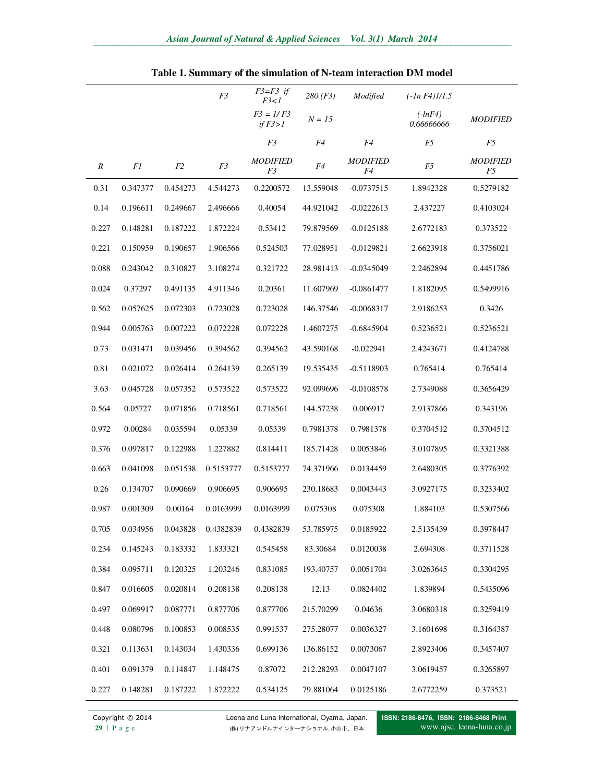|                  |          |          | F3        | $F3 = F3$ if<br>F3<1              | 280(F3)   | Modified              | $(-ln F4)$ $1/1.5$      |                       |
|------------------|----------|----------|-----------|-----------------------------------|-----------|-----------------------|-------------------------|-----------------------|
|                  |          |          |           | $F3 = I/F3$<br>if $F3>1$          | $N = 15$  |                       | $(-lnF4)$<br>0.66666666 | <i>MODIFIED</i>       |
|                  |          |          |           | F3                                | F4        | F4                    | F5                      | F5                    |
| $\boldsymbol{R}$ | F1       | F2       | F3        | <b>MODIFIED</b><br>F <sub>3</sub> | F4        | <b>MODIFIED</b><br>F4 | F5                      | <b>MODIFIED</b><br>F5 |
| 0.31             | 0.347377 | 0.454273 | 4.544273  | 0.2200572                         | 13.559048 | $-0.0737515$          | 1.8942328               | 0.5279182             |
| 0.14             | 0.196611 | 0.249667 | 2.496666  | 0.40054                           | 44.921042 | $-0.0222613$          | 2.437227                | 0.4103024             |
| 0.227            | 0.148281 | 0.187222 | 1.872224  | 0.53412                           | 79.879569 | $-0.0125188$          | 2.6772183               | 0.373522              |
| 0.221            | 0.150959 | 0.190657 | 1.906566  | 0.524503                          | 77.028951 | $-0.0129821$          | 2.6623918               | 0.3756021             |
| 0.088            | 0.243042 | 0.310827 | 3.108274  | 0.321722                          | 28.981413 | $-0.0345049$          | 2.2462894               | 0.4451786             |
| 0.024            | 0.37297  | 0.491135 | 4.911346  | 0.20361                           | 11.607969 | $-0.0861477$          | 1.8182095               | 0.5499916             |
| 0.562            | 0.057625 | 0.072303 | 0.723028  | 0.723028                          | 146.37546 | $-0.0068317$          | 2.9186253               | 0.3426                |
| 0.944            | 0.005763 | 0.007222 | 0.072228  | 0.072228                          | 1.4607275 | $-0.6845904$          | 0.5236521               | 0.5236521             |
| 0.73             | 0.031471 | 0.039456 | 0.394562  | 0.394562                          | 43.590168 | $-0.022941$           | 2.4243671               | 0.4124788             |
| 0.81             | 0.021072 | 0.026414 | 0.264139  | 0.265139                          | 19.535435 | $-0.5118903$          | 0.765414                | 0.765414              |
| 3.63             | 0.045728 | 0.057352 | 0.573522  | 0.573522                          | 92.099696 | $-0.0108578$          | 2.7349088               | 0.3656429             |
| 0.564            | 0.05727  | 0.071856 | 0.718561  | 0.718561                          | 144.57238 | 0.006917              | 2.9137866               | 0.343196              |
| 0.972            | 0.00284  | 0.035594 | 0.05339   | 0.05339                           | 0.7981378 | 0.7981378             | 0.3704512               | 0.3704512             |
| 0.376            | 0.097817 | 0.122988 | 1.227882  | 0.814411                          | 185.71428 | 0.0053846             | 3.0107895               | 0.3321388             |
| 0.663            | 0.041098 | 0.051538 | 0.5153777 | 0.5153777                         | 74.371966 | 0.0134459             | 2.6480305               | 0.3776392             |
| 0.26             | 0.134707 | 0.090669 | 0.906695  | 0.906695                          | 230.18683 | 0.0043443             | 3.0927175               | 0.3233402             |
| 0.987            | 0.001309 | 0.00164  | 0.0163999 | 0.0163999                         | 0.075308  | 0.075308              | 1.884103                | 0.5307566             |
| 0.705            | 0.034956 | 0.043828 | 0.4382839 | 0.4382839                         | 53.785975 | 0.0185922             | 2.5135439               | 0.3978447             |
| 0.234            | 0.145243 | 0.183332 | 1.833321  | 0.545458                          | 83.30684  | 0.0120038             | 2.694308                | 0.3711528             |
| 0.384            | 0.095711 | 0.120325 | 1.203246  | 0.831085                          | 193.40757 | 0.0051704             | 3.0263645               | 0.3304295             |
| 0.847            | 0.016605 | 0.020814 | 0.208138  | 0.208138                          | 12.13     | 0.0824402             | 1.839894                | 0.5435096             |
| 0.497            | 0.069917 | 0.087771 | 0.877706  | 0.877706                          | 215.70299 | 0.04636               | 3.0680318               | 0.3259419             |
| 0.448            | 0.080796 | 0.100853 | 0.008535  | 0.991537                          | 275.28077 | 0.0036327             | 3.1601698               | 0.3164387             |
| 0.321            | 0.113631 | 0.143034 | 1.430336  | 0.699136                          | 136.86152 | 0.0073067             | 2.8923406               | 0.3457407             |
| 0.401            | 0.091379 | 0.114847 | 1.148475  | 0.87072                           | 212.28293 | 0.0047107             | 3.0619457               | 0.3265897             |
| 0.227            | 0.148281 | 0.187222 | 1.872222  | 0.534125                          | 79.881064 | 0.0125186             | 2.6772259               | 0.373521              |

|  |  | Table 1. Summary of the simulation of N-team interaction DM model |  |  |  |  |  |  |  |  |  |  |
|--|--|-------------------------------------------------------------------|--|--|--|--|--|--|--|--|--|--|
|--|--|-------------------------------------------------------------------|--|--|--|--|--|--|--|--|--|--|

Copyright © 2014 Leena and Luna International, Oyama, Japan.<br>
29 | Page (株) リナアンドルナインターナショナル, 小山市、日本. **29** | P a g e (株) リナアンドルナインターナショナル, 小山市、日本.

**ISSN: 2186-8476, ISSN: 2186-8468 Print**  www.ajsc. leena-luna.co.jp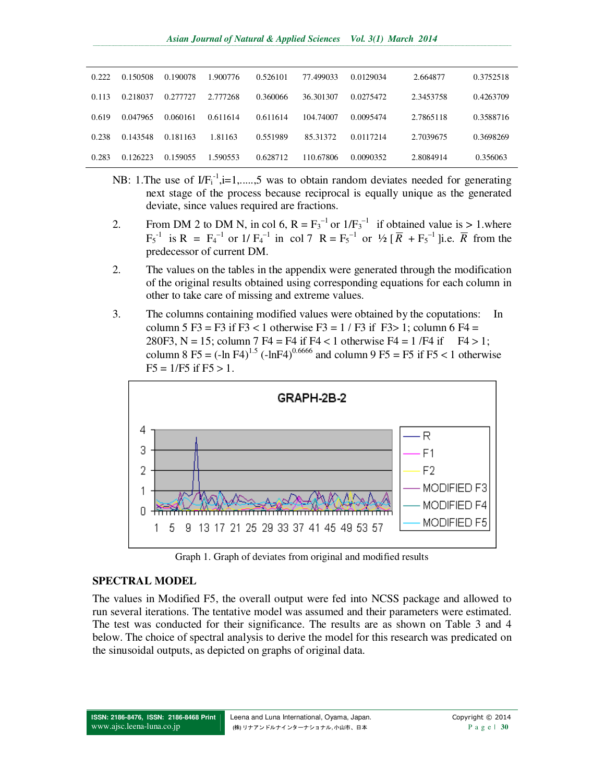| 0.222 | 0.150508 | 0.190078 | 1.900776 | 0.526101 | 77.499033 | 0.0129034  | 2.664877  | 0.3752518 |
|-------|----------|----------|----------|----------|-----------|------------|-----------|-----------|
| 0.113 | 0.218037 | 0.277727 | 2.777268 | 0.360066 | 36.301307 | 0.0275472  | 2.3453758 | 0.4263709 |
| 0.619 | 0.047965 | 0.060161 | 0.611614 | 0.611614 | 104.74007 | 0.0095474  | 2.7865118 | 0.3588716 |
| 0.238 | 0.143548 | 0.181163 | 1.81163  | 0.551989 | 85.31372  | 0.01172.14 | 2.7039675 | 0.3698269 |
| 0.283 | 0.126223 | 0.159055 | 1.590553 | 0.628712 | 110.67806 | 0.0090352  | 2.8084914 | 0.356063  |

- NB: 1. The use of  $IF_i^{-1}$ ,  $i=1, \ldots, 5$  was to obtain random deviates needed for generating next stage of the process because reciprocal is equally unique as the generated deviate, since values required are fractions.
- 2. From DM 2 to DM N, in col 6,  $R = F_3^{-1}$  or  $1/F_3^{-1}$  if obtained value is > 1.where  $F_5^{-1}$  is R =  $F_4^{-1}$  or 1/ $F_4^{-1}$  in col 7 R =  $F_5^{-1}$  or  $\frac{1}{2}$  [ $\overline{R}$  +  $F_5^{-1}$  ]i.e.  $\overline{R}$  from the predecessor of current DM.
- 2. The values on the tables in the appendix were generated through the modification of the original results obtained using corresponding equations for each column in other to take care of missing and extreme values.
- 3. The columns containing modified values were obtained by the coputations: In column 5 F3 = F3 if F3 < 1 otherwise F3 =  $1/$  F3 if F3> 1; column 6 F4 = 280F3, N = 15; column 7 F4 = F4 if F4 < 1 otherwise F4 = 1 /F4 if F4 > 1; column 8 F5 =  $(-\ln F4)^{1.5}$   $(-\ln F4)^{0.6666}$  and column 9 F5 = F5 if F5 < 1 otherwise  $F5 = 1/F5$  if  $F5 > 1$ .



Graph 1. Graph of deviates from original and modified results

### **SPECTRAL MODEL**

The values in Modified F5, the overall output were fed into NCSS package and allowed to run several iterations. The tentative model was assumed and their parameters were estimated. The test was conducted for their significance. The results are as shown on Table 3 and 4 below. The choice of spectral analysis to derive the model for this research was predicated on the sinusoidal outputs, as depicted on graphs of original data.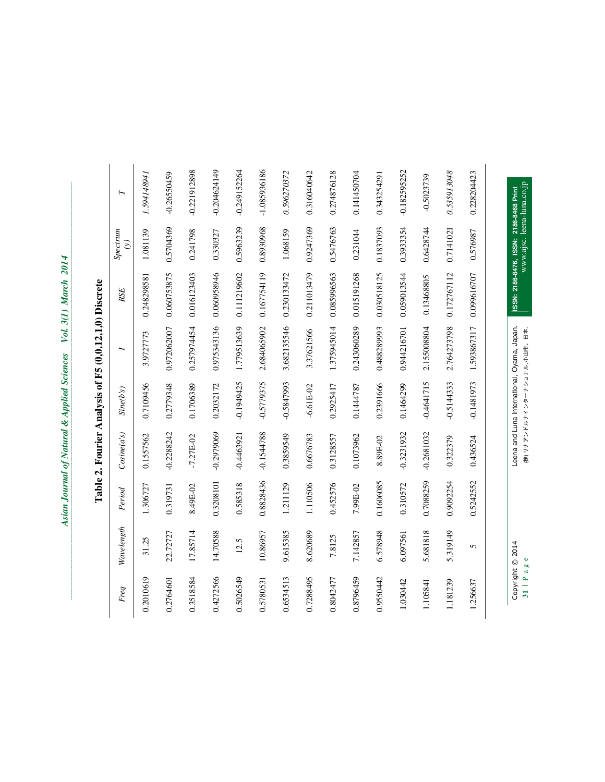| 0.8828436<br>0.3208101<br>0.585318<br>0.319731<br>8.49E-02<br>1.306727<br>Period<br>Wavelength<br>17.85714<br>14.70588<br>22.72727<br>31.25<br>12.5<br>0.4272566<br>0.2010619<br>0.3518584<br>0.5026549<br>0.2764601<br>Freq | $-0.2288242$<br>Cosine(a's)<br>0.1557562<br>$-7.27E - 02$ | Sine(b's)    |                                             |             | Spectrum                               |                |
|------------------------------------------------------------------------------------------------------------------------------------------------------------------------------------------------------------------------------|-----------------------------------------------------------|--------------|---------------------------------------------|-------------|----------------------------------------|----------------|
|                                                                                                                                                                                                                              |                                                           |              | ∽                                           | RSE         | $\hat{c}$                              | $\vdash$       |
|                                                                                                                                                                                                                              |                                                           | 0.7109456    | 3.9727773                                   | 0.248298581 | 1.081139                               | 1.594148941    |
|                                                                                                                                                                                                                              |                                                           | 0.2779348    | 0.972062007                                 | 0.060753875 | 0.5704369                              | $-0.26550459$  |
|                                                                                                                                                                                                                              |                                                           | 0.1706389    | 0.257974454                                 | 0.016123403 | 0.241798                               | -0.221912898   |
|                                                                                                                                                                                                                              | $-0.2979069$                                              | 0.2032172    | 0.975343136                                 | 0.060958946 | 0.330327                               | $-0.204624149$ |
|                                                                                                                                                                                                                              | $-0.4463921$                                              | -0.1949425   | 1.779513639                                 | 0.111219602 | 0.5963239                              | $-0.249152264$ |
| 10.86957<br>0.5780531                                                                                                                                                                                                        | $-0.1544788$                                              | -0.5779375   | 2.684065902                                 | 0.167754119 | 0.8930968                              | $-1.085936186$ |
| 1.211129<br>9.615385<br>0.6534513                                                                                                                                                                                            | 0.3859549                                                 | -0.5847993   | 3.682135546                                 | 0.230133472 | 1.068159                               | 0.596270372    |
| 1.110506<br>8.620689<br>0.7288495                                                                                                                                                                                            | 0.6676783                                                 | $-6.61E-02$  | 3.37621566                                  | 0.211013479 | 0.9247369                              | 0.316040642    |
| 0.452576<br>7.8125<br>0.8042477                                                                                                                                                                                              | 0.3128557                                                 | 0.2925417    | 1.375945014                                 | 0.085996563 | 0.5476763                              | 0.274876128    |
| 7.99E-02<br>7.142857<br>0.8796459                                                                                                                                                                                            | 0.1073962                                                 | 0.1444787    | 0.243060289                                 | 0.015191268 | 0.231044                               | 0.141450704    |
| 0.1606085<br>6.578948<br>0.9550442                                                                                                                                                                                           | 8.89E-02                                                  | 0.2391666    | 0.488289993                                 | 0.030518125 | 0.1837093                              | 0.343254291    |
| 0.310572<br>6.097561<br>1.030442                                                                                                                                                                                             | -0.3231932                                                | 0.1464299    | 0.944216701                                 | 0.059013544 | 0.393354                               | -0.182595252   |
| 0.7088259<br>5.681818<br>1.105841                                                                                                                                                                                            | -0.2681032                                                | $-0.4641715$ | 2.155008804                                 | 0.13468805  | 0.6428744                              | $-0.5023739$   |
| 0.9092254<br>5.319149<br>1.181239                                                                                                                                                                                            | 0.322379                                                  | $-0.5144333$ | 2.764273798                                 | 0.172767112 | 0.7141021                              | 0.535913048    |
| 0.5242552<br>5<br>.256637                                                                                                                                                                                                    | 0.436524                                                  | -0.1481973   | 1.593867317                                 | 0.099616707 | 0.576987                               | 0.228204423    |
| Copyright © 2014                                                                                                                                                                                                             |                                                           |              | Leena and Luna International, Oyama, Japan. |             | ISSN: 2186-8476, ISSN: 2186-8468 Print |                |

**31 | P a g e (株) リナアンドルナインターナショナル, 小山市、日本.** 

www.ajsc. leena-luna.co.jp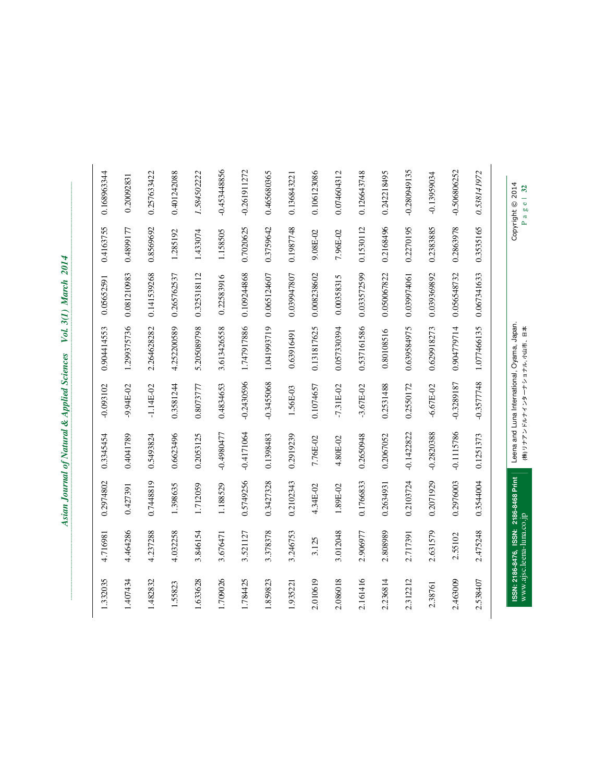| Copyright © 2014<br>Pagel 32 |           |             | Leena and Luna International, Oyama, Japan.<br>(株) リナアソ ドラナイ ソターナショナラ ううせ、 四杉 |               |              |           | ISSN: 2186-8476, ISSN: 2186-8468 Print<br>www.ajsc.leena-luna.co.jp |          |
|------------------------------|-----------|-------------|-------------------------------------------------------------------------------|---------------|--------------|-----------|---------------------------------------------------------------------|----------|
| 0.538141972                  | 0.3535165 | 0.067341633 | 1.077466135                                                                   | $-0.3577748$  | 0.1251373    | 0.3544004 | 2.475248                                                            | 2.538407 |
| -0.506806252                 | 0.2863978 | 0.056548732 | 0.904779714                                                                   | $-0.3289187$  | $-0.1115786$ | 0.2976003 | 2.55102                                                             | 2.463009 |
| $-0.13959034$                | 0.2383885 | 0.039369892 | 0.629918273                                                                   | $-6.67E - 02$ | $-0.2820388$ | 0.2071929 | 2.631579                                                            | 2.38761  |
| -0.280949135                 | 0.2270195 | 0.039974061 | 0.639584975                                                                   | 0.2550172     | -0.1422822   | 0.2103724 | 2.717391                                                            | 2.312212 |
| 0.242218495                  | 0.2168496 | 0.050067822 | 0.80108516                                                                    | 0.2531488     | 0.2067052    | 0.2634931 | 2.808989                                                            | 2.236814 |
| 0.126643748                  | 0.1530112 | 0.033572599 | 0.537161586                                                                   | $-3.67E - 02$ | 0.2650948    | 0.1766833 | 2.906977                                                            | 2.161416 |
| 0.074604312                  | 7.96E-02  | 0.00358315  | 0.057330394                                                                   | $-7.31E - 02$ | 4.80E-02     | 1.89E-02  | 3.012048                                                            | 2.086018 |
| 0.106123086                  | 9.08E-02  | 0.008238602 | 0.131817625                                                                   | 0.1074657     | 7.76E-02     | 4.34E-02  | 3.125                                                               | 2.010619 |
| 0.136843221                  | 0.1987748 | 0.039947807 | 0.63916491                                                                    | 1.56E-03      | 0.2919239    | 0.2102343 | 3.246753                                                            | 1.935221 |
| 0.465680365                  | 0.3759642 | 0.065124607 | 1.041993719                                                                   | $-0.3455068$  | 0.1398483    | 0.3427328 | 3.378378                                                            | 1.859823 |
| $-0.261911272$               | 0.7020625 | 0.109244868 | 1.747917886                                                                   | $-0.2430596$  | $-0.4171064$ | 0.5749256 | 3.521127                                                            | 1.784425 |
| $-0.453448856$               | 1.158505  | 0.22583916  | 3.613426558                                                                   | 0.4834653     | $-0.4980477$ | 1.188529  | 3.676471                                                            | 1.709026 |
| 1.584502222                  | 1.433074  | 0.325318112 | 5.205089798                                                                   | 0.8073777     | 0.2053125    | 1.712059  | 3.846154                                                            | 1.633628 |
| 0.401242088                  | 1.285192  | 0.265762537 | 4.252200589                                                                   | 0.3581244     | 0.6623496    | 1.398635  | 4.032258                                                            | 1.55823  |
| 0.257633422                  | 0.8569692 | 0.141539268 | 2.264628282                                                                   | $-1.14E-02$   | 0.5493824    | 0.7448819 | 4.237288                                                            | 1.482832 |
| 0.20092831                   | 0.4899177 | 0.081210983 | 1.299375736                                                                   | -9.94E-02     | 0.4041789    | 0.427391  | 4.464286                                                            | 1.407434 |
| 0.168963344                  |           |             |                                                                               |               |              | 0.2974802 | 4.716981                                                            | 1.332035 |

Page | 32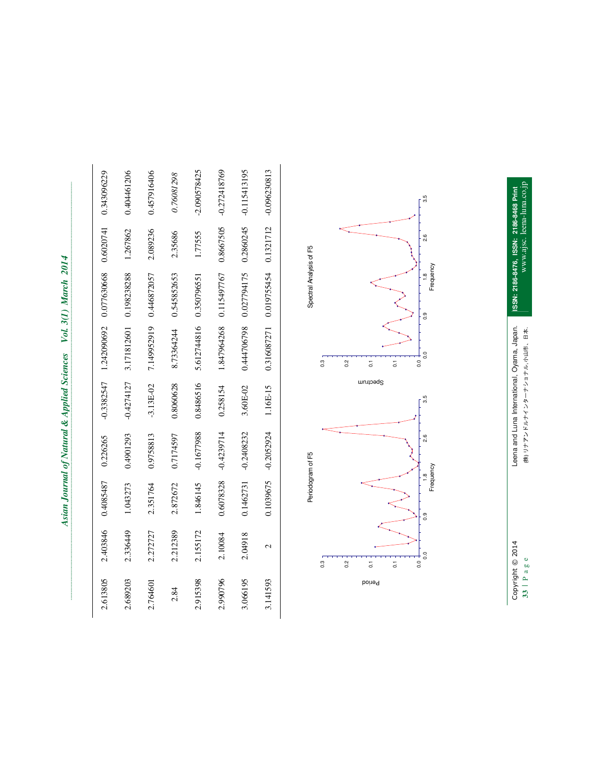| Ì      |
|--------|
| ֚֞֘    |
| i      |
|        |
| i      |
|        |
| ì      |
|        |
|        |
| Ĭ<br>ì |
|        |
| Vol.   |
|        |
|        |
| Ş      |
|        |
|        |
|        |
|        |
|        |
|        |
|        |
|        |
|        |
|        |
|        |
|        |
|        |
|        |
| I      |
|        |
|        |
|        |
|        |
|        |
|        |
|        |
|        |
|        |
|        |

| 2.613805      | 2.403846                                                                                          | 0.4085487                                    | 0.226265     | $-0.3382547$                 | 1.242090692                                       | 0.077630668                                                          | 0.6020741 | 0.343096229    |
|---------------|---------------------------------------------------------------------------------------------------|----------------------------------------------|--------------|------------------------------|---------------------------------------------------|----------------------------------------------------------------------|-----------|----------------|
| 2.689203      | 2.336449                                                                                          | 1.043273                                     | 0.4901293    | $-0.4274127$                 | 3.171812601                                       | 0.198238288                                                          | 1.267862  | 0.404461206    |
| 2.764601      | 2.272727                                                                                          | 2.351764                                     | 0.9758813    | $-3.13E-02$                  | 7.149952919                                       | 0.446872057                                                          | 2.089236  | 0.457916406    |
| 2.84          | 2.212389                                                                                          | 2.872672                                     | 0.7174597    | 0.8060628                    | 8.73364244                                        | 0.545852653                                                          | 2.35686   | 0.76081298     |
| 2.915398      | 2.155172                                                                                          | 1.846145                                     | -0.1677988   | 0.8486516                    | 5.612744816                                       | 0.350796551                                                          | 1.77555   | $-2.090578425$ |
| 2.990796      | 2.10084                                                                                           | 0.6078328                                    | $-0.4239714$ | 0.258154                     | 1.847964268                                       | 0.115497767                                                          | 0.8667505 | $-0.272418769$ |
| 3.066195      | 2.04918                                                                                           | 0.1462731                                    | $-0.2408232$ | 3.60E-02                     | 0.444706798                                       | 0.027794175                                                          | 0.2860245 | $-0.115413195$ |
| 3.141593      | $\mathcal{L}$                                                                                     | 0.1039675                                    | $-0.2052924$ | 1.16E-15                     | 0.316087271                                       | 0.019755454                                                          | 0.1321712 | $-0.096230813$ |
| <b>Period</b> | $\overline{0}$<br>0.3<br>$\overline{0.0}$<br>0.2<br>$\overline{\textbf{c}}$<br>$\overline{\circ}$ | Periodogram of F5<br>1.8<br>Frequency<br>0.9 | 2.6          | Spectrum<br>$3.\overline{5}$ | 0.0<br>0.0<br>0.3<br>0.2<br>$\overline{0}$ .<br>5 | Spectral Analysis of F5<br>Frequency<br>$^{0.6}$<br>$0.\overline{9}$ | 2.6       | 3.5            |
|               | Copyright © 2014                                                                                  |                                              |              |                              | Leena and Luna International, Oyama, Japan.       | ISSN: 2186-8476, ISSN: 2186-8468 Print                               |           |                |



**ISSN: 2186-8476, ISSN: 2186-8468 Print**  www.ajsc. leena-luna.co.jp

**33** | P a g e (株) リナアンドルナインターナショナル, 小山市、日本.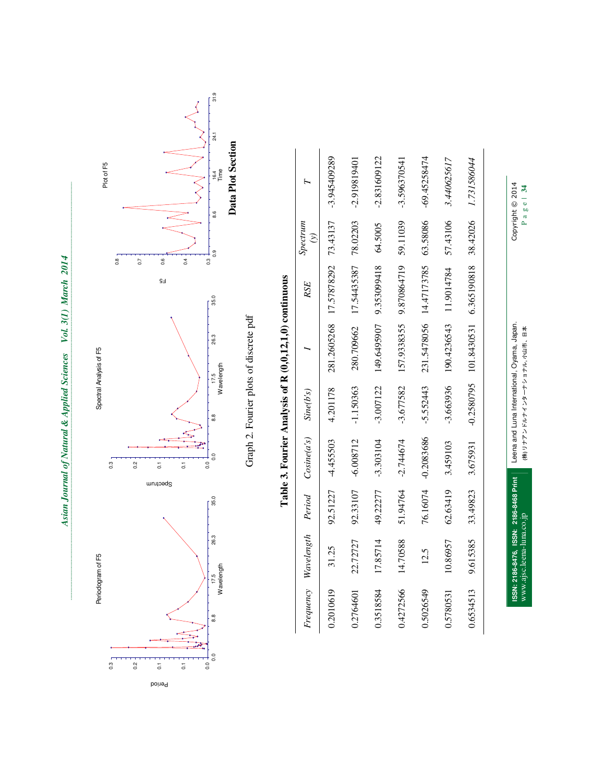

| n (I) d<br>くりし |  |
|----------------|--|
|                |  |
|                |  |
|                |  |
|                |  |
|                |  |
|                |  |
|                |  |
|                |  |
|                |  |
|                |  |
|                |  |
|                |  |
|                |  |
|                |  |
|                |  |

|           | Periodogram of F5                      |          |                                                                      | Spectral Analysis of F5 |                                                                                                  |                                    |                           | Plot of F5                           |
|-----------|----------------------------------------|----------|----------------------------------------------------------------------|-------------------------|--------------------------------------------------------------------------------------------------|------------------------------------|---------------------------|--------------------------------------|
|           |                                        |          | $\frac{3}{2}$<br>0.2<br>$\overline{0}$<br>$\overline{0}$<br>Spectrum |                         |                                                                                                  | 0.8<br>0.6<br>C <sub>2</sub><br>£§ |                           |                                      |
| 8.8       | 26.3<br>17.5<br>Wavelength             | 35.0     | $\overline{0}$<br>$\overline{0}$                                     | 17.5<br>$\frac{8}{6}$   | 26.3<br>Wavelength                                                                               | 0.4<br>0.3<br>35.0                 | 8.6<br>0.9                | Data Plot Section<br>$\frac{4}{164}$ |
|           |                                        |          |                                                                      |                         | Table 3. Fourier Analysis of R (0,0,12,1,0) continuous<br>Graph 2. Fourier plots of discrete pdf |                                    |                           |                                      |
| Frequency | Wavelength                             | Period   | Cosine(a's)                                                          | Sine(b's)               |                                                                                                  | <b>RSE</b>                         | Spectrum<br>$\widehat{c}$ | $\mathbf{r}$                         |
| 0.2010619 | 31.25                                  | 92.51227 | -4.455503                                                            | 4.201178                | 281.2605268                                                                                      | 17.57878292                        | 73.43137                  | $-3.945409289$                       |
| 0.2764601 | 22.72727                               | 92.33107 | $-6.008712$                                                          | $-1.150363$             | 280.709662                                                                                       | 17.54435387                        | 78.02203                  | $-2.919819401$                       |
| 0.3518584 | 17.85714                               | 49.22277 | $-3.303104$                                                          | $-3.007122$             | 149.6495907                                                                                      | 9.353099418                        | 64.5005                   | $-2.831609122$                       |
| 0.4272566 | 14.70588                               | 51.94764 | $-2.744674$                                                          | $-3.677582$             | 157.9338355                                                                                      | 9.870864719                        | 59.11039                  | $-3.596370541$                       |
| 0.5026549 | 12.5                                   | 76.16074 | -0.2083686                                                           | $-5.552443$             | 231.5478056                                                                                      | 14.47173785                        | 63.58086                  | $-69.45258474$                       |
| 0.5780531 | 10.86957                               | 62.63419 | 3.459103                                                             | $-3.663936$             | 190.4236543                                                                                      | 11.9014784                         | 57.43106                  | 3.440625617                          |
| 0.6534513 | 9.615385                               | 33.49823 | 3.675931                                                             | -0.2580795              | 101.8430531                                                                                      | 6.365190818                        | 38.42026                  | 1.731586044                          |
|           | ISSN: 2186-8476, ISSN: 2186-8468 Print |          |                                                                      |                         | Leena and Luna International, Oyama, Japan.                                                      |                                    |                           | Copyright © 2014                     |

Leena and Luna International, Oyama, Japan. Copyright © 2014 (株) リナアンドルルインターナショナル, 小山市、日本<br>-

www.ajsc.leena-luna.co.jp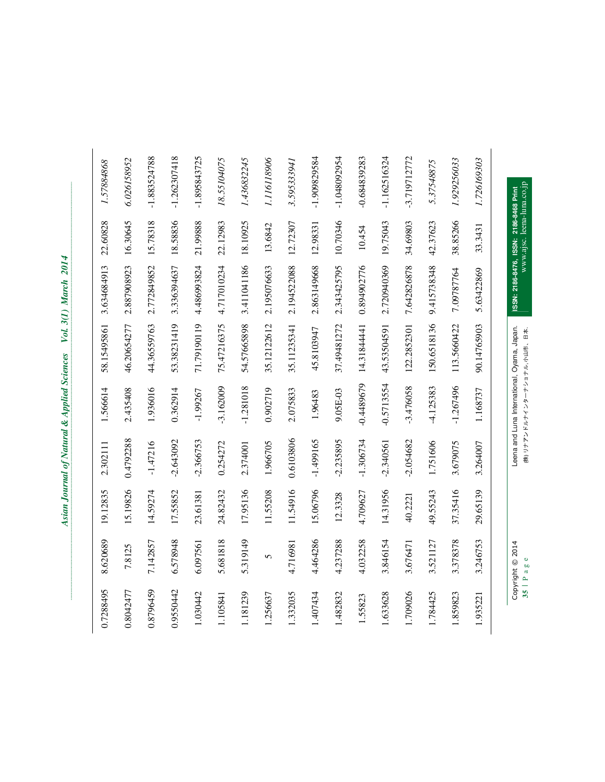| š<br>i                                 |
|----------------------------------------|
| Mari                                   |
| $\frac{2}{I}$<br>$\frac{1}{2}$<br>Vol. |
| j<br>l                                 |
|                                        |
| ١<br>I<br>l                            |
|                                        |
|                                        |

|                | www.ajsc. leena-luna.co.jp | ISSN: 2186-8476, ISSN: 2186-8468 Print | (株) リナアン ドルナインターナショナラ デュモ、ロネ | Leena and Luna International, Oyama, Japan. |             |          | Copyright © 2014 | 35 Pa     |
|----------------|----------------------------|----------------------------------------|------------------------------|---------------------------------------------|-------------|----------|------------------|-----------|
|                |                            |                                        |                              |                                             |             |          |                  |           |
| 1.726169303    | 33.3431                    | 5.63422869                             | 90.14765903                  | 1.168737                                    | 3.264007    | 29.65139 | 3.246753         | 1.935221  |
| 1.929256033    | 38.85266                   | 7.09787764                             | 113.5660422                  | $-1.267496$                                 | 3.679075    | 37.35416 | 3.378378         | 1.859823  |
| 5.37548875     | 42.37623                   | 9.415738348                            | 150.6518136                  | -4.125383                                   | 1.751606    | 49.55243 | 3.521127         | 1.784425  |
| $-3.719712772$ | 34.69803                   | 7.642826878                            | 122.2852301                  | $-3.476058$                                 | 2.054682    | 40.2221  | 3.676471         | 1.709026  |
| $-1.162516324$ | 19.75043                   | 2.720940369                            | 43.53504591                  | -0.5713554                                  | $-2.340561$ | 14.31956 | 3.846154         | 1.633628  |
| $-0.684839283$ | 10.454                     | 0.894902776                            | 14.3184441                   | -0.4489679                                  | $-1.306734$ | 4.709627 | 4.032258         | 1.55823   |
| $-1.048092954$ | 10.70346                   | 2.343425795                            | 37.49481272                  | 9.05E-03                                    | $-2.235895$ | 12.3328  | 4.237288         | 1.482832  |
| -1.909829584   | 12.98331                   | 2.863149668                            | 45.8103947                   | 1.96483                                     | -1.499165   | 15.06796 | 4.464286         | 1.407434  |
| 3.595333941    | 12.72307                   | 2.194522088                            | 35.11235341                  | 2.075833                                    | 0.6103806   | 11.54916 | 4.716981         | 1.332035  |
| 1.116118906    | 13.6842                    | 2.195076633                            | 35.12122612                  | 0.902719                                    | 1.966705    | 11.55208 | $\mathbf 5$      | 1.256637  |
| 1.436832245    | 18.10925                   | 3.411041186                            | 54.57665898                  | $-1.281018$                                 | 2.374001    | 17.95136 | 5.319149         | 1.181239  |
| 18.55104075    | 22.12983                   | 4.717010234                            | 75.47216375                  | $-3.162009$                                 | 0.254272    | 24.82432 | 5.681818         | 1.105841  |
| -1.895843725   | 21.99888                   | 4.486993824                            | 71.79190119                  | $-1.99267$                                  | 2.366753    | 23.61381 | 6.097561         | 1.030442  |
| $-1.262307418$ | 18.58836                   | 3.336394637                            | 53.38231419                  | 0.362914                                    | $-2.643092$ | 17.55852 | 6.578948         | 0.9550442 |
| $-1.883524788$ | 15.78318                   | 2.772849852                            | 44.36559763                  | 1.936016                                    | $-1.47216$  | 14.59274 | 7.142857         | 0.8796459 |
| 6.026158952    | 16.30645                   | 2.887908923                            | 46.20654277                  | 2.435408                                    | 0.4792288   | 15.19826 | 7.8125           | 0.8042477 |
| 1.57884868     | 22.60828                   | 3.634684913                            | 58.15495861                  | 1.566614                                    | 2.302111    | 19.12835 | 8.620689         | 0.7288495 |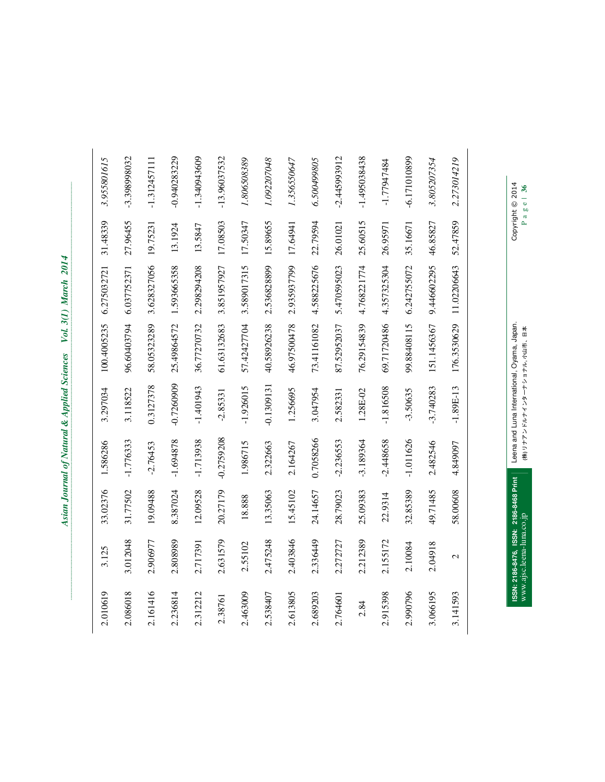| Copyright © 2014 |          |             | Leena and Luna International, Oyama, Japan. |             |             |          |               | ISSN: 2186-8476, ISSN: 2186-8468 Print |
|------------------|----------|-------------|---------------------------------------------|-------------|-------------|----------|---------------|----------------------------------------|
|                  |          |             |                                             |             |             |          |               |                                        |
| 2.273014219      | 52.47859 | 11.02206643 | 176.3530629                                 | $-1.89E-13$ | 4.849097    | 58.00608 | $\mathcal{L}$ | 3.141593                               |
| 3.805207354      | 46.85827 | 9.446602295 | 151.1456367                                 | $-3.740283$ | 2.482546    | 49.71485 | 2.04918       | 3.066195                               |
| $-6.171010899$   | 35.16671 | 6.242755072 | 99.88408115                                 | $-3.50635$  | $-1.011626$ | 32.85389 | 2.10084       | 2.990796                               |
| -1.77947484      | 26.95971 | 4.357325304 | 69.71720486                                 | $-1.816508$ | $-2.448658$ | 22.9314  | 2.155172      | 2.915398                               |
| -1.495038438     | 25.60515 | 4.768221774 | 76.29154839                                 | 1.28E-02    | $-3.189364$ | 25.09383 | 2.212389      | 2.84                                   |
| $-2.445993912$   | 26.01021 | 5.470595023 | 87.52952037                                 | 2.582331    | $-2.236553$ | 28.79023 | 2.272727      | 2.764601                               |
| 6.500499805      | 22.79594 | 4.588225676 | 73.41161082                                 | 3.047954    | 0.7058266   | 24.14657 | 2.336449      | 2.689203                               |
| 1.356550647      | 17.64941 | 2.935937799 | 46.97500478                                 | 1.256695    | 2.164267    | 15.45102 | 2.403846      | 2.613805                               |
| 1.092207048      | 15.89655 | 2.536828899 | 40.58926238                                 | 0.1309131   | 2.322663    | 13.35063 | 2.475248      | 2.538407                               |
| 1.806508389      | 17.50347 | 3.589017315 | 57.42427704                                 | $-1.926015$ | 1.986715    | 18.888   | 2.55102       | 2.463009                               |
| $-13.96037532$   | 17.08503 | 3.851957927 | 61.63132683                                 | $-2.85331$  | -0.2759208  | 20.27179 | 2.631579      | 2.38761                                |
| $-1.340943609$   | 13.5847  | 2.298294208 | 36.77270732                                 | $-1.401943$ | -1.713938   | 12.09528 | 2.717391      | 2.312212                               |
| $-0.940283229$   | 13.1924  | 1.593665358 | 25.49864572                                 | 0.7260909   | $-1.694878$ | 8.387024 | 2.808989      | 2.236814                               |
| $-1.312457111$   | 19.75231 | 3.628327056 | 58.05323289                                 | 0.3127378   | $-2.76453$  | 19.09488 | 2.906977      | 2.161416                               |
| -3.398998032     | 27.96455 | 6.037752371 | 96.60403794                                 | 3.118522    | $-1.776333$ | 31.77502 | 3.012048      | 2.086018                               |
| 3.955801615      | 31.48339 | 6.275032721 | 100.4005235                                 | 3.297034    | 1.586286    | 33.02376 | 3.125         | 2.010619                               |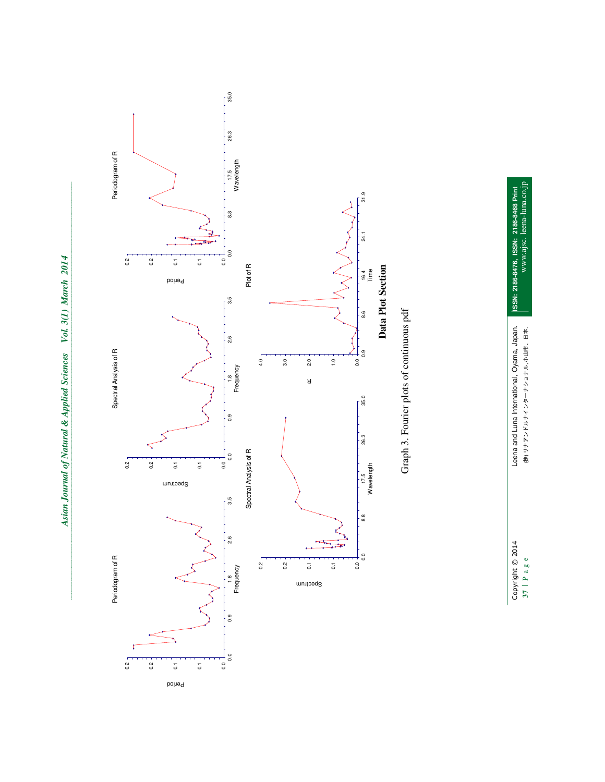

**37 | P a g e (株) リナアンドルナインターナショナル, 小山市、日本. ISSN: 2186-8476, ISSN: 2186-8468 Print**  www.ajsc. leena-luna.co.jp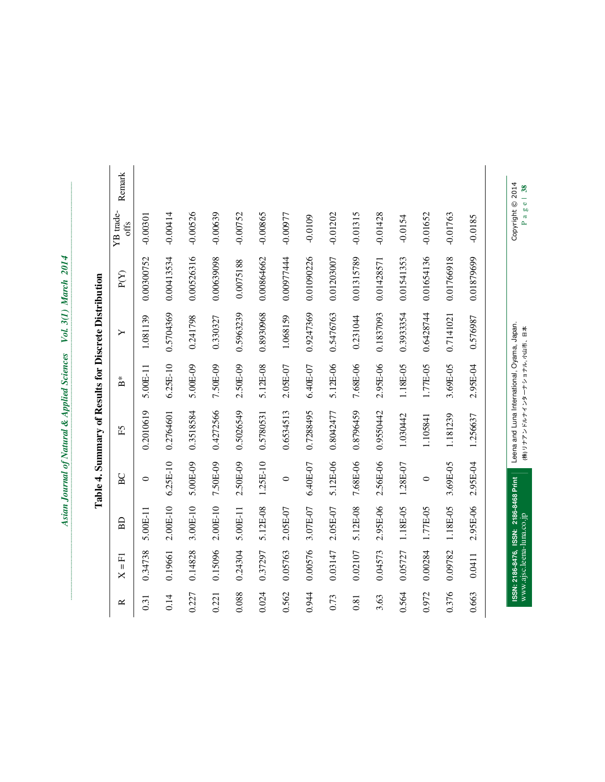| ₹<br>å                 |
|------------------------|
| Ş<br>i<br>۱.           |
| Į<br>١<br>Vol.         |
| }<br>}<br>0.00000<br>١ |
| ֠<br>j<br>ĉ            |
| I<br>j                 |
|                        |
| i                      |

|       |                        |                                        |            | Table 4. Summary of Results for Discrete Distribution |                           |           |            |                   |        |
|-------|------------------------|----------------------------------------|------------|-------------------------------------------------------|---------------------------|-----------|------------|-------------------|--------|
| ≃     | 园<br>$\mathbf{I}$<br>× | BD                                     | BC         | Ě                                                     | $\overset{*}{\mathbf{B}}$ | ≻         | P(Y)       | YB trade-<br>offs | Remark |
| 0.31  | 0.34738                | 5.00E-11                               | $\circ$    | 0.2010619                                             | $5.00E-11$                | 1.081139  | 0.00300752 | $-0.00301$        |        |
| 0.14  | 0.19661                | $2.00E-10$                             | $6.25E-10$ | 0.2764601                                             | $6.25E-10$                | 0.5704369 | 0.00413534 | $-0.00414$        |        |
| 0.227 | 0.14828                | 3.00E-10                               | 5.00E-09   | 0.3518584                                             | 5.00E-09                  | 0.241798  | 0.00526316 | $-0.00526$        |        |
| 0.221 | 0.15096                | $2.00E-10$                             | 7.50E-09   | 0.4272566                                             | 7.50E-09                  | 0.330327  | 0.00639098 | $-0.00639$        |        |
| 0.088 | 0.24304                | $5.00E-11$                             | 2.50E-09   | 0.5026549                                             | 2.50E-09                  | 0.5963239 | 0.0075188  | $-0.00752$        |        |
| 0.024 | 0.37297                | 5.12E-08                               | 1.25E-10   | 0.5780531                                             | 5.12E-08                  | 0.8930968 | 0.00864662 | $-0.00865$        |        |
| 0.562 | 0.05763                | 2.05E-07                               | $\circ$    | 0.6534513                                             | 2.05E-07                  | 1.068159  | 0.00977444 | $-0.00977$        |        |
| 0.944 | 0.00576                | 3.07E-07                               | 6.40E-07   | 0.7288495                                             | $6.40E-07$                | 0.9247369 | 0.01090226 | $-0.0109$         |        |
| 0.73  | 0.03147                | 2.05E-07                               | 5.12E-06   | 0.8042477                                             | 5.12E-06                  | 0.5476763 | 0.01203007 | $-0.01202$        |        |
| 0.81  | 0.02107                | 5.12E-08                               | 7.68E-06   | 0.8796459                                             | 7.68E-06                  | 0.231044  | 0.01315789 | $-0.01315$        |        |
| 3.63  | 0.04573                | 2.95E-06                               | 2.56E-06   | 0.9550442                                             | 2.95E-06                  | 0.1837093 | 0.01428571 | $-0.01428$        |        |
| 0.564 | 0.05727                | 1.18E-05                               | 1.28E-07   | 1.030442                                              | 1.18E-05                  | 0.393354  | 0.01541353 | $-0.0154$         |        |
| 0.972 | 0.00284                | 1.77E-05                               | $\circ$    | 1.105841                                              | 1.77E-05                  | 0.6428744 | 0.01654136 | $-0.01652$        |        |
| 0.376 | 0.09782                | 1.18E-05                               | 3.69E-05   | 1.181239                                              | 3.69E-05                  | 0.7141021 | 0.01766918 | $-0.01763$        |        |
| 0.663 | 0.0411                 | 2.95E-06                               | 2.95E-04   | 1.256637                                              | 2.95E-04                  | 0.576987  | 0.01879699 | $-0.0185$         |        |
|       |                        | ISSN: 2186-8476, ISSN: 2186-8468 Print |            | Leena and Luna International, Oyama, Japan.           |                           |           |            | Copyright © 2014  |        |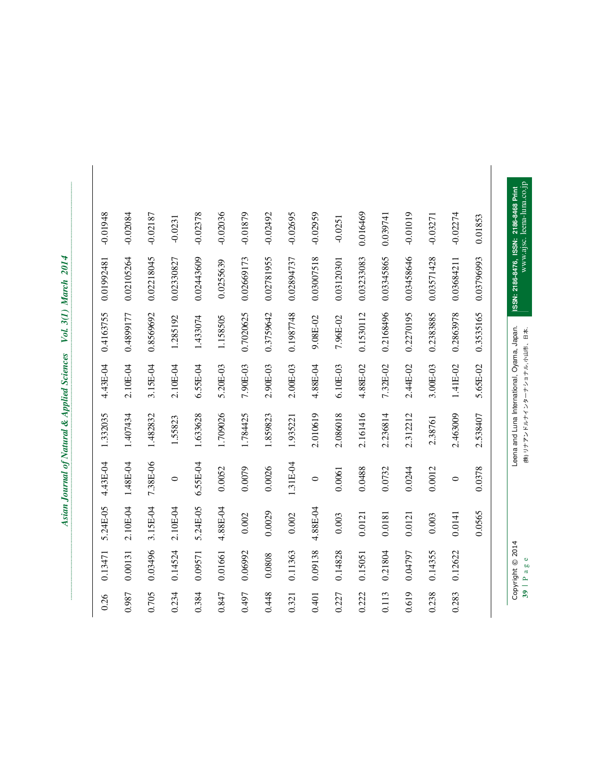| י<br>נו<br>Š |  |
|--------------|--|
|              |  |
|              |  |
|              |  |
|              |  |
|              |  |
|              |  |
| ì            |  |
|              |  |
|              |  |
|              |  |
|              |  |
|              |  |
|              |  |
|              |  |
| Vol. 3(1     |  |
|              |  |
|              |  |
|              |  |
|              |  |
|              |  |
|              |  |
| i            |  |
| ļ            |  |
|              |  |
|              |  |
|              |  |
|              |  |
|              |  |
|              |  |
| į            |  |
|              |  |
|              |  |
|              |  |
|              |  |
|              |  |
|              |  |
|              |  |
|              |  |
| I            |  |
|              |  |
|              |  |
|              |  |
|              |  |
|              |  |
|              |  |
|              |  |
| I            |  |
|              |  |
|              |  |
|              |  |
|              |  |
|              |  |

| $-0.01948$ | $-0.02084$ | $-0.02187$ | $-0.0231$  | $-0.02378$ | $-0.02036$ | $-0.01879$ | $-0.02492$ | $-0.02695$ | $-0.02959$ | $-0.0251$  | 0.016469   | 0.039741   | $-0.01019$ | $-0.03271$ | $-0.02274$ | 0.01853    | www.ajsc. leena-luna.co.jp<br>ISSN: 2186-8476, ISSN: 2186-8468 Print          |
|------------|------------|------------|------------|------------|------------|------------|------------|------------|------------|------------|------------|------------|------------|------------|------------|------------|-------------------------------------------------------------------------------|
| 0.01992481 | 0.02105264 | 0.02218045 | 0.02330827 | 0.02443609 | 0.0255639  | 0.02669173 | 0.02781955 | 0.02894737 | 0.03007518 | 0.03120301 | 0.03233083 | 0.03345865 | 0.03458646 | 0.03571428 | 0.03684211 | 0.03796993 |                                                                               |
| 0.4163755  | 0.4899177  | 0.8569692  | 1.285192   | 1.433074   | 1.158505   | 0.7020625  | 0.3759642  | 0.1987748  | 9.08E-02   | 7.96E-02   | 0.1530112  | 0.2168496  | 0.2270195  | 0.2383885  | 0.2863978  | 0.3535165  |                                                                               |
| 4.43E-04   | 2.10E-04   | 3.15E-04   | 2.10E-04   | $6.55E-04$ | 5.20E-03   | 7.90E-03   | 2.90E-03   | 2.00E-03   | 4.88E-04   | $6.10E-03$ | 4.88E-02   | 7.32E-02   | 2.44E-02   | 3.00E-03   | 1.41E-02   | 5.65E-02   | Leena and Luna International, Oyama, Japan.<br>(株) リナアン ドラナイソターナツョナラ ごうせい、ロネ、 |
| 1.332035   | 1.407434   | 1.482832   | 1.55823    | 1.633628   | 1.709026   | 1.784425   | 1.859823   | 1.935221   | 2.010619   | 2.086018   | 2.161416   | 2.236814   | 2.312212   | 2.38761    | 2.463009   | 2.538407   |                                                                               |
| 4.43E-04   | 1.48E-04   | 7.38E-06   | $\circ$    | 6.55E-04   | 0.0052     | 0.0079     | 0.0026     | 1.31E-04   | $\circ$    | 0.0061     | 0.0488     | 0.0732     | 0.0244     | 0.0012     | $\circ$    | 0.0378     |                                                                               |
| 5.24E-05   | 2.10E-04   | 3.15E-04   | 2.10E-04   | 5.24E-05   | 4.88E-04   | 0.002      | 0.0029     | 0.002      | 4.88E-04   | 0.003      | 0.0121     | 0.0181     | 0.0121     | 0.003      | 0.0141     | 0.0565     |                                                                               |
| 0.13471    | 0.00131    | 0.03496    | 0.14524    | 0.09571    | 0.01661    | 0.06992    | 0.0808     | 0.11363    | 0.09138    | 0.14828    | 0.15051    | 0.21804    | 0.04797    | 0.14355    | 0.12622    |            | Copyright © 2014<br>$39$   Page                                               |
| 0.26       | 0.987      | 0.705      | 0.234      | 0.384      | 0.847      | 0.497      | 0.448      | 0.321      | 0.401      | 0.227      | 0.222      | 0.113      | 0.619      | 0.238      | 0.283      |            |                                                                               |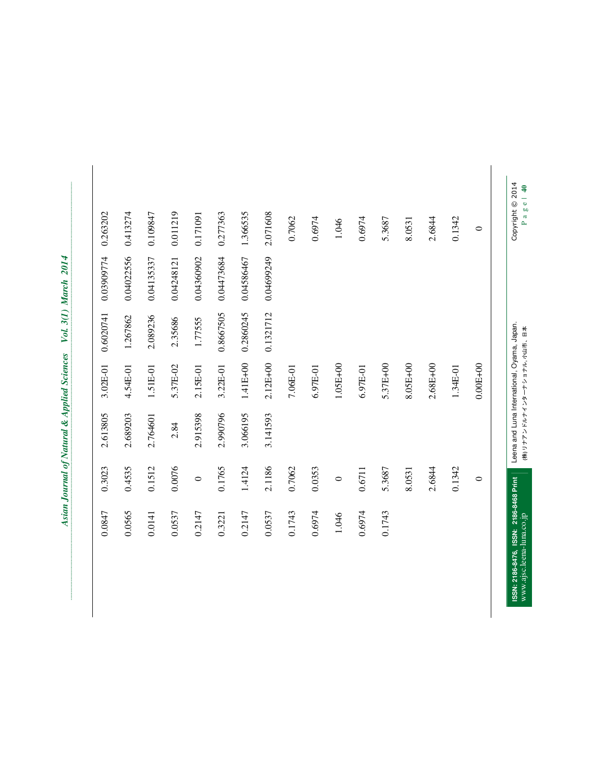| Copyright © 2014 |            |           |              | Leena and Luna International, Oyama, Japan. |         | ISSN: 2186-8476, ISSN: 2186-8468 Print |
|------------------|------------|-----------|--------------|---------------------------------------------|---------|----------------------------------------|
| $\circ$          |            |           | $0.00E + 00$ |                                             | $\circ$ |                                        |
| 0.1342           |            |           | 1.34E-01     |                                             | 0.1342  |                                        |
| 2.6844           |            |           | $2.68E + 00$ |                                             | 2.6844  |                                        |
| 8.0531           |            |           | 8.05E+00     |                                             | 8.0531  |                                        |
| 5.3687           |            |           | 5.37E+00     |                                             | 5.3687  | 0.1743                                 |
| 0.6974           |            |           | $6.97E-01$   |                                             | 0.6711  | 0.6974                                 |
| 1.046            |            |           | $1.05E+00$   |                                             | $\circ$ | 1.046                                  |
| 0.6974           |            |           | $6.97E-01$   |                                             | 0.0353  | 0.6974                                 |
| 0.7062           |            |           | $7.06E-01$   |                                             | 0.7062  | 0.1743                                 |
| 2.071608         | 0.04699249 | 0.1321712 | $2.12E + 00$ | 3.141593                                    | 2.1186  | 0.0537                                 |
| 1.366535         | 0.04586467 | 0.2860245 | 1.41E+00     | 3.066195                                    | 1.4124  | 0.2147                                 |
| 0.277363         | 0.04473684 | 0.8667505 | 3.22E-01     | 2.990796                                    | 0.1765  | 0.3221                                 |
| 0.171091         | 0.04360902 | 1.77555   | 2.15E-01     | 2.915398                                    | $\circ$ | 0.2147                                 |
| 0.011219         | 0.04248121 | 2.35686   | 5.37E-02     | 2.84                                        | 0.0076  | 0.0537                                 |
| 0.109847         | 0.04135337 | 2.089236  | 1.51E-01     | 2.764601                                    | 0.1512  | 0.0141                                 |
| 0.413274         | 0.04022556 | 1.267862  | 4.54E-01     | 2.689203                                    | 0.4535  | 0.0565                                 |
| 0.263202         | 0.03909774 | 0.6020741 | 3.02E-01     | 2.613805                                    | 0.3023  | 0.0847                                 |
|                  |            |           |              |                                             |         |                                        |

| י בים<br>ג                                  |
|---------------------------------------------|
|                                             |
| i                                           |
|                                             |
|                                             |
|                                             |
| i                                           |
|                                             |
|                                             |
| I                                           |
|                                             |
| ļ                                           |
|                                             |
|                                             |
|                                             |
|                                             |
| Vol. 3(1)                                   |
|                                             |
|                                             |
|                                             |
|                                             |
|                                             |
|                                             |
|                                             |
| $\ddot{\phantom{a}}$                        |
|                                             |
|                                             |
|                                             |
| <b>MONDAY</b>                               |
|                                             |
| ļ                                           |
|                                             |
|                                             |
|                                             |
|                                             |
|                                             |
| ֧ׅ֧֧֚֚֚֚֚֚֚֚֚֚֚֚֚֚֚֚֚֚֚֚֬֡֡֓֡֘֡֡֡֓֡֡֬֜֓֡֬֝֓ |
|                                             |
|                                             |
| ์<br>ซ                                      |
|                                             |
|                                             |
|                                             |
|                                             |
|                                             |
|                                             |
|                                             |
| j                                           |
|                                             |
|                                             |
|                                             |
|                                             |
|                                             |
|                                             |
|                                             |
|                                             |
|                                             |
|                                             |
|                                             |
| I                                           |
|                                             |
|                                             |
|                                             |
|                                             |
|                                             |
|                                             |

www.ajsc.leena-luna.co.jp Leena and Luna International, Oyama, Japan. Copyright © 2014 (株) リナアンドルルインターナショナル, 小山市、日本<br>P a g e | 40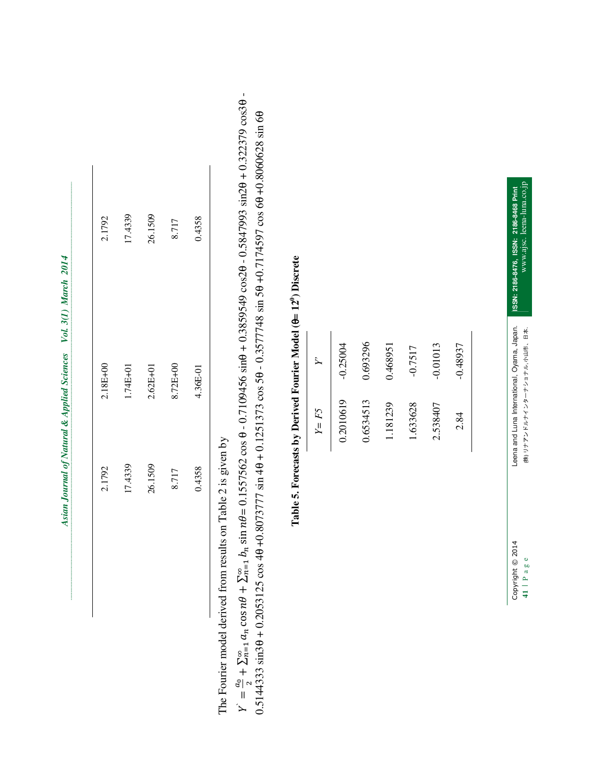| 2.1792                                |                                                                            | 2.18E+00     | 2.1792                                                                                                                                                                                                                                               |
|---------------------------------------|----------------------------------------------------------------------------|--------------|------------------------------------------------------------------------------------------------------------------------------------------------------------------------------------------------------------------------------------------------------|
| 17.4339                               |                                                                            | 1.74E+01     | 17.4339                                                                                                                                                                                                                                              |
| 26.1509                               |                                                                            | $2.62E + 01$ | 26.1509                                                                                                                                                                                                                                              |
| 8.717                                 |                                                                            | 8.72E+00     | 8.717                                                                                                                                                                                                                                                |
| 0.4358                                |                                                                            | 4.36E-01     | 0.4358                                                                                                                                                                                                                                               |
| d from results on Table 2 is given by |                                                                            |              |                                                                                                                                                                                                                                                      |
|                                       |                                                                            |              | $9 + \sum_{n=1}^{\infty} b_n \sin n\theta = 0.1557562 \cos \theta - 0.7109456 \sin \theta + 0.3859549 \cos 2\theta - 0.5847993 \sin 2\theta + 0.393$<br>125 cos 40 +0.8073777 sin 40 + 0.1251373 cos 50 - 0.3577748 sin 50 +0.7174597 cos 60 +0.8060 |
|                                       | Table 5. Forecasts by Derived Fourier Model (0= 12 <sup>0</sup> ) Discrete |              |                                                                                                                                                                                                                                                      |
|                                       | $Y = F5$                                                                   | Ź            |                                                                                                                                                                                                                                                      |
|                                       | 0.2010619                                                                  | $-0.25004$   |                                                                                                                                                                                                                                                      |
|                                       | 0.6534513                                                                  | 0.693296     |                                                                                                                                                                                                                                                      |
|                                       | 1.181239                                                                   | 0.468951     |                                                                                                                                                                                                                                                      |
|                                       | 1.633628                                                                   | $-0.7517$    |                                                                                                                                                                                                                                                      |
|                                       | 2.538407                                                                   | $-0.01013$   |                                                                                                                                                                                                                                                      |
|                                       | 2.84                                                                       | $-0.48937$   |                                                                                                                                                                                                                                                      |
|                                       |                                                                            |              |                                                                                                                                                                                                                                                      |
| Copyright © 2014                      | Leena and Luna International, Oyama, Japan.                                |              | ISSN: 2186-8476, ISSN: 2186-8468 Print                                                                                                                                                                                                               |

The Fourier model derived from results on Table 2 is given by

اا<br>ح ದಿ ಇ  $+\sum_{n=1}^{\infty}a_n$  $_{n}$ cos n $\theta$ 8 స  $\frac{1}{2} a_n \cos n\theta + \sum_{n=1}^{\infty} b_n$  $_{n}\sin n\theta$ 8 ສ  $\frac{1}{2}$  b<sub>n</sub> sin nθ = 0.1557562 cos θ - 0.7109456 sinθ + 0.3859549 cos2θ - 0.5847993 sin2θ + 0.322379 cos3θ -0.5144333 sin3θ + 0.2053125 cos 4θ +0.8073777 sin 4θ + 0.1251373 cos 5θ - 0.3577748 sin 5θ +0.7174597 cos 6θ +0.8060628 sin 6θ

| ż        | $-0.25004$ | 0.693296  | 0.468951 | $-0.7517$ | $-0.01013$ | $-0.48937$ |
|----------|------------|-----------|----------|-----------|------------|------------|
| $Y = F5$ | 0.2010619  | 0.6534513 | 1.181239 | 1.633628  | 2.538407   | 2.84       |

# **Table 5. Forecasts by Derived Fourier Model (**θ**= 120) Discrete**

**41 | P a g e (株) リナアンドルナインターナショナル, 小山市、日本.** 

www.ajsc. leena-luna.co.jp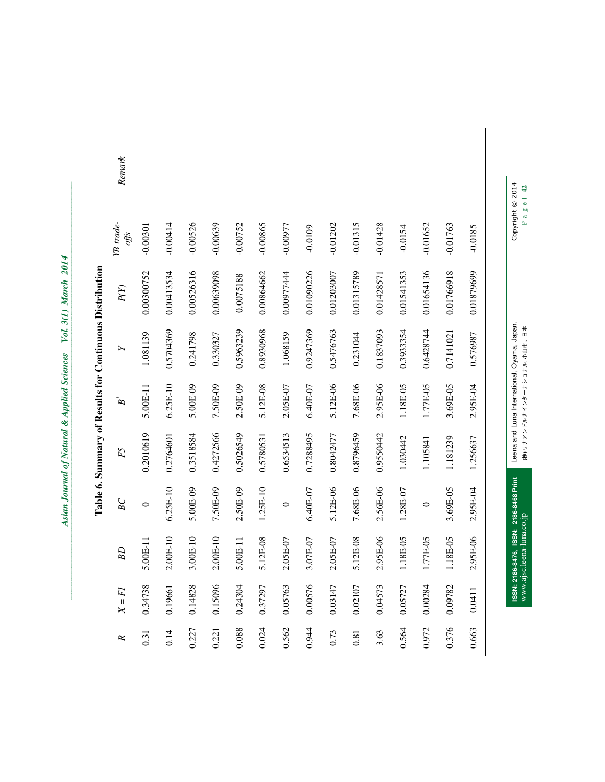| י<br>גו<br>$\overline{\mathbf{v}}$ |
|------------------------------------|
| j<br>l                             |
| $\tilde{\mathcal{U}}$<br>Vol.      |
| l                                  |
|                                    |
|                                    |
|                                    |
|                                    |

| ĸ        | $X = FI$ | BD                    | BC         | F5        | $B^*$      | $\blacktriangleright$ | P(Y)       | YB trade-<br>offs | Remark |
|----------|----------|-----------------------|------------|-----------|------------|-----------------------|------------|-------------------|--------|
| 0.31     | 0.34738  | $.00E-11$<br>ŋ        | $\circ$    | 0.2010619 | 5.00E-11   | 1.081139              | 0.00300752 | $-0.00301$        |        |
| 0.14     | 0.19661  | $2.00E-10$            | $6.25E-10$ | 0.2764601 | $6.25E-10$ | 0.5704369             | 0.00413534 | $-0.00414$        |        |
| 0.227    | 0.14828  | $00E-10$<br>ო         | 5.00E-09   | 0.3518584 | 5.00E-09   | 0.241798              | 0.00526316 | $-0.00526$        |        |
| 0.221    | 0.15096  | $00E-10$              | 7.50E-09   | 0.4272566 | 7.50E-09   | 0.330327              | 0.00639098 | $-0.00639$        |        |
| 0.088    | 0.24304  | $.00E-11$             | 2.50E-09   | 0.5026549 | 2.50E-09   | 0.5963239             | 0.0075188  | $-0.00752$        |        |
| 0.024    | 0.37297  | 5.12E-08              | $1.25E-10$ | 0.5780531 | 5.12E-08   | 0.8930968             | 0.00864662 | $-0.00865$        |        |
| 0.562    | 0.05763  | $0.05E-07$<br>$\sim$  | $\circ$    | 0.6534513 | 2.05E-07   | 1.068159              | 0.00977444 | -0.00977          |        |
| 0.944    | 0.00576  | $.07E-07$<br>$\omega$ | 6.40E-07   | 0.7288495 | 6.40E-07   | 0.9247369             | 0.01090226 | $-0.0109$         |        |
| 0.73     | 0.03147  | 1.05E-07<br>$\sim$    | 5.12E-06   | 0.8042477 | 5.12E-06   | 0.5476763             | 0.01203007 | $-0.01202$        |        |
| $0.81\,$ | 0.02107  | $12E-08$<br>∽         | 7.68E-06   | 0.8796459 | 7.68E-06   | 0.231044              | 0.01315789 | $-0.01315$        |        |
| 3.63     | 0.04573  | .95E-06<br>$\sim$     | 2.56E-06   | 0.9550442 | 2.95E-06   | 0.1837093             | 0.01428571 | $-0.01428$        |        |
| 0.564    | 0.05727  | .18E-05               | 1.28E-07   | 1.030442  | 1.18E-05   | 0.3933554             | 0.01541353 | $-0.0154$         |        |
| 0.972    | 0.00284  | .77E-05               | 0          | 1.105841  | 1.77E-05   | 0.6428744             | 0.01654136 | $-0.01652$        |        |
| 0.376    | 0.09782  | .18E-05               | 3.69E-05   | 1.181239  | 3.69E-05   | 0.7141021             | 0.01766918 | $-0.01763$        |        |
| 0.663    | 0.0411   | .95E-06               | 2.95E-04   | 1.256637  | 2.95E-04   | 0.576987              | 0.01879699 | $-0.0185$         |        |

www.ajsc.leena-luna.co.jp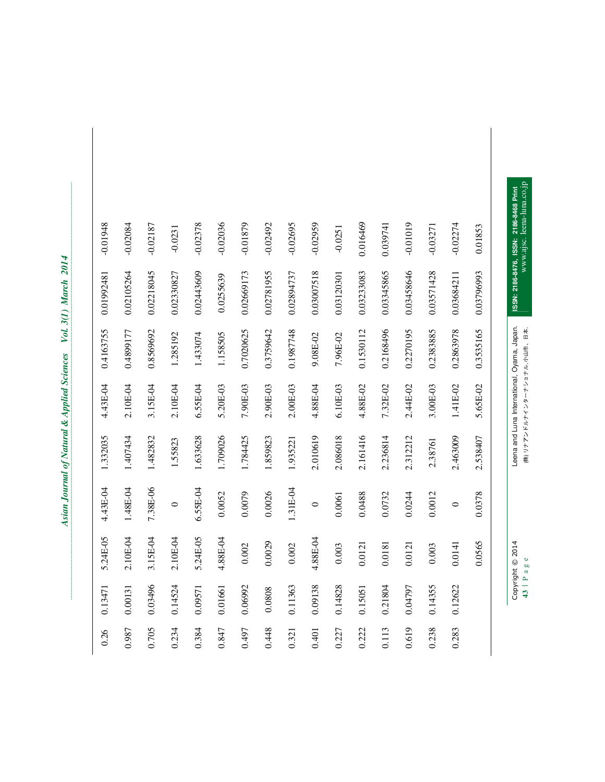| ֧֖֧֧֧֧֧֧֧֧֧֧֧֧֧֧֧֧֧֧֚֚֚֚֚֚֚֚֚֚֚֚֚֚֚֚֚֚֚֚֚֚֚֚֚֚֚֝֝֓֝֓֝֬֝֓֬֝֬֝֬֝֬֝֬֝֬֝֬֝֬֝֬֝֬֝֬֝֬֝֬<br>֧֧֪֪֪֪֪֪֪֪֪֜֜֩֩֩<br>$\ddot{\phantom{a}}$ |
|-------------------------------------------------------------------------------------------------------------------------------|
|                                                                                                                               |
|                                                                                                                               |
|                                                                                                                               |
| i                                                                                                                             |
|                                                                                                                               |
|                                                                                                                               |
| I                                                                                                                             |
|                                                                                                                               |
| ;<br>;                                                                                                                        |
|                                                                                                                               |
|                                                                                                                               |
| $\ddot{\phantom{a}}$<br>$V_{\alpha}I$                                                                                         |
|                                                                                                                               |
|                                                                                                                               |
|                                                                                                                               |
|                                                                                                                               |
| ļ                                                                                                                             |
|                                                                                                                               |
|                                                                                                                               |
|                                                                                                                               |
|                                                                                                                               |
|                                                                                                                               |
|                                                                                                                               |
|                                                                                                                               |
|                                                                                                                               |
|                                                                                                                               |
| Í                                                                                                                             |
|                                                                                                                               |
|                                                                                                                               |
|                                                                                                                               |
|                                                                                                                               |
|                                                                                                                               |
|                                                                                                                               |
|                                                                                                                               |
|                                                                                                                               |
|                                                                                                                               |
|                                                                                                                               |
|                                                                                                                               |
|                                                                                                                               |
|                                                                                                                               |
|                                                                                                                               |
|                                                                                                                               |
|                                                                                                                               |
|                                                                                                                               |
|                                                                                                                               |
|                                                                                                                               |
|                                                                                                                               |
|                                                                                                                               |
|                                                                                                                               |
|                                                                                                                               |
|                                                                                                                               |

| $-0.01948$ | $-0.02084$ | $-0.02187$ | $-0.0231$  | $-0.02378$ | $-0.02036$ | $-0.01879$ | $-0.02492$ | $-0.02695$ | $-0.02959$ | $-0.0251$  | 0.016469   | 0.039741   | $-0.01019$ | $-0.03271$ | $-0.02274$ | 0.01853    | www.ajsc. leena-luna.co.jp<br>ISSN: 2186-8476, ISSN: 2186-8468 Print         |
|------------|------------|------------|------------|------------|------------|------------|------------|------------|------------|------------|------------|------------|------------|------------|------------|------------|------------------------------------------------------------------------------|
| 0.01992481 | 0.02105264 | 0.02218045 | 0.02330827 | 0.02443609 | 0.0255639  | 0.02669173 | 0.02781955 | 0.02894737 | 0.03007518 | 0.03120301 | 0.03233083 | 0.03345865 | 0.03458646 | 0.03571428 | 0.03684211 | 0.03796993 |                                                                              |
| 0.4163755  | 0.4899177  | 0.8569692  | 1.285192   | 1.433074   | 1.158505   | 0.7020625  | 0.3759642  | 0.1987748  | 9.08E-02   | 7.96E-02   | 0.1530112  | 0.2168496  | 0.2270195  | 0.2383885  | 0.2863978  | 0.3535165  |                                                                              |
| 4.43E-04   | 2.10E-04   | 3.15E-04   | 2.10E-04   | $6.55E-04$ | 5.20E-03   | 7.90E-03   | 2.90E-03   | 2.00E-03   | 4.88E-04   | 6.10E-03   | 4.88E-02   | 7.32E-02   | 2.44E-02   | 3.00E-03   | 1.41E-02   | 5.65E-02   | Leena and Luna International, Oyama, Japan.<br>(株) リナアンドルナインターナショナル, 小ゴ市、日本. |
| 1.332035   | 1.407434   | 1.482832   | 1.55823    | 1.633628   | 1.709026   | 1.784425   | 1.859823   | 1.935221   | 2.010619   | 2.086018   | 2.161416   | 2.236814   | 2.312212   | 2.38761    | 2.463009   | 2.538407   |                                                                              |
| 4.43E-04   | 1.48E-04   | 7.38E-06   | $\circ$    | $6.55E-04$ | 0.0052     | 0.0079     | 0.0026     | 1.31E-04   | $\circ$    | 0.0061     | 0.0488     | 0.0732     | 0.0244     | 0.0012     | $\circ$    | 0.0378     |                                                                              |
| 5.24E-05   | 2.10E-04   | 3.15E-04   | 2.10E-04   | 5.24E-05   | 4.88E-04   | 0.002      | 0.0029     | 0.002      | 4.88E-04   | 0.003      | 0.0121     | 0.0181     | 0.0121     | 0.003      | 0.0141     | 0.0565     | Copyright © 2014<br>$\frac{6}{5}$                                            |
| 0.13471    | 0.00131    | 0.03496    | 0.14524    | 0.09571    | 0.01661    | 0.06992    | 0.0808     | 0.11363    | 0.09138    | 0.14828    | 0.15051    | 0.21804    | 0.04797    | 0.14355    | 0.12622    |            | 43   Pa                                                                      |
| 0.26       | 0.987      | 0.705      | 0.234      | 0.384      | 0.847      | 0.497      | 0.448      | 0.321      | 0.401      | 0.227      | 0.222      | 0.113      | 0.619      | 0.238      | 0.283      |            |                                                                              |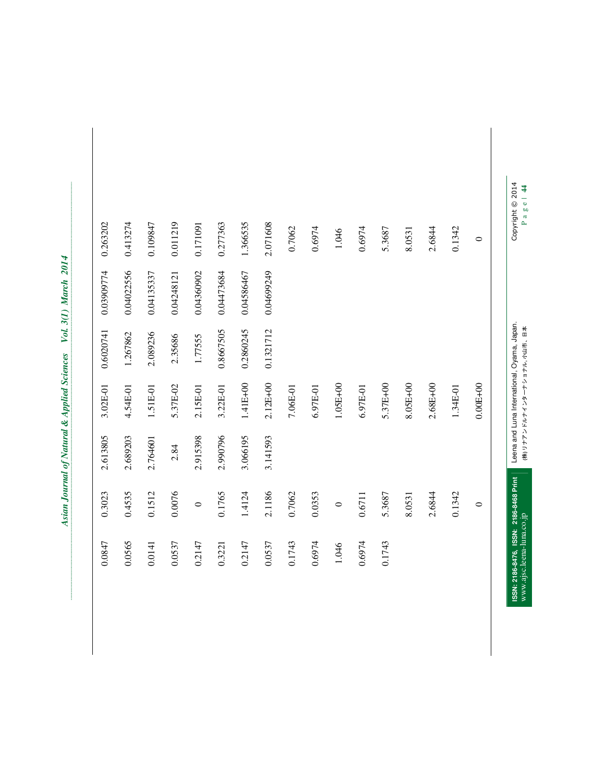| i<br>់                                                                       |
|------------------------------------------------------------------------------|
| ֧֧֧֧֧֧֧ׅ֧֦֧֧֧֧֧֧֦֧֧֧֧֧֧֪֪֪֪֦֧֚֚֚֚֚֚֚֚֚֚֚֚֚֚֝֝֓֝֓֝֓֝֓֝֬֜֓֜֓֜֓֓֜֓֜֜֜<br>i<br>ì |
| Į<br>í<br>Vol.                                                               |
| ו<br>ו                                                                       |
|                                                                              |
| I                                                                            |
|                                                                              |
|                                                                              |

| Copyright © 2014<br>Page   44 |            | Leena and Luna International, Oyama, Japan.<br>(株) リナアンドルナインターナショナル ブラモ、ロキ |              |          |         | ISSN: 2186-8476, ISSN: 2186-8468 Print<br>www.ajsc.leena-luna.co.jp |
|-------------------------------|------------|----------------------------------------------------------------------------|--------------|----------|---------|---------------------------------------------------------------------|
| $\circ$                       |            |                                                                            | $0.00E + 00$ |          | $\circ$ |                                                                     |
| 0.1342                        |            |                                                                            | 1.34E-01     |          | 0.1342  |                                                                     |
| 2.6844                        |            |                                                                            | 2.68E+00     |          | 2.6844  |                                                                     |
| 8.0531                        |            |                                                                            | 8.05E+00     |          | 8.0531  |                                                                     |
| 5.3687                        |            |                                                                            | 5.37E+00     |          | 5.3687  | 0.1743                                                              |
| 0.6974                        |            |                                                                            | 6.97E-01     |          | 0.6711  | 0.6974                                                              |
| 1.046                         |            |                                                                            | $1.05E+00$   |          | $\circ$ | 1.046                                                               |
| 0.6974                        |            |                                                                            | 6.97E-01     |          | 0.0353  | 0.6974                                                              |
| 0.7062                        |            |                                                                            | 7.06E-01     |          | 0.7062  | 0.1743                                                              |
| 2.071608                      | 0.04699249 | 0.1321712                                                                  | 2.12E+00     | 3.141593 | 2.1186  | 0.0537                                                              |
| 1.366535                      | 0.04586467 | 0.2860245                                                                  | 1.41E+00     | 3.066195 | 1.4124  | 0.2147                                                              |
| 0.277363                      | 0.04473684 | 0.8667505                                                                  | 3.22E-01     | 2.990796 | 0.1765  | 0.3221                                                              |
| 0.171091                      | 0.04360902 | 1.77555                                                                    | 2.15E-01     | 2.915398 | $\circ$ | 0.2147                                                              |
| 0.011219                      | 0.04248121 | 2.35686                                                                    | 5.37E-02     | 2.84     | 0.0076  | 0.0537                                                              |
| 0.109847                      | 0.04135337 | 2.089236                                                                   | 1.51E-01     | 2.764601 | 0.1512  | 0.0141                                                              |
| 0.413274                      | 0.04022556 | 1.267862                                                                   | 4.54E-01     | 2.689203 | 0.4535  | 0.0565                                                              |
| 0.263202                      | 0.03909774 | 0.6020741                                                                  | 3.02E-01     | 2.613805 | 0.3023  | 0.0847                                                              |
|                               |            |                                                                            |              |          |         |                                                                     |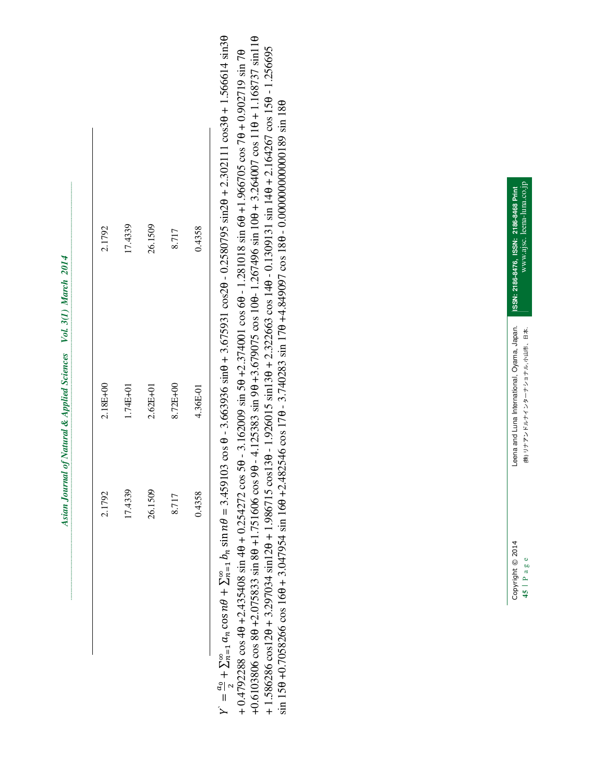| 2.1792   | 17.4339  | 26.1509      | 8.717    | 0.4358   |                                                                                                                                                                                  |                                                                                                                                                                                                                                                                                                                                                                                                                                                                                                                                                                                                                 |  | ISSN: 2186-8476, ISSN: 2186-8468 Print      |
|----------|----------|--------------|----------|----------|----------------------------------------------------------------------------------------------------------------------------------------------------------------------------------|-----------------------------------------------------------------------------------------------------------------------------------------------------------------------------------------------------------------------------------------------------------------------------------------------------------------------------------------------------------------------------------------------------------------------------------------------------------------------------------------------------------------------------------------------------------------------------------------------------------------|--|---------------------------------------------|
| 2.18E+00 | 1.74E+01 | $2.62E + 01$ | 8.72E+00 | 4.36E-01 |                                                                                                                                                                                  |                                                                                                                                                                                                                                                                                                                                                                                                                                                                                                                                                                                                                 |  | Leena and Luna International, Oyama, Japan. |
| 2.1792   | 17.4339  | 26.1509      | 8.717    | 0.4358   | $n \cos n\theta + \sum_{n=1}^{\infty} b_n \sin n\theta = 3.459103 \cos \theta - 3.663936 \sin \theta + 3.675931 \cos 2\theta - 0.2580795 \sin 2\theta + 2.302111 \cos 3\theta +$ | $4\theta$ +2.435408 sin 4 $\theta$ + 0.254272 cos 5 $\theta$ - 3.162009 sin 5 $\theta$ +2.374001 cos 6 $\theta$ - 1.281018 sin 6 $\theta$ +1.966705 cos 7 $\theta$ + 0.9<br>$.0 + 3.297034 \sin 20 + 1.986715 \cos 130 - 1.926015 \sin 130 + 2.322663 \cos 140 - 0.1309131 \sin 140 + 2.164267 \cos 146 \cos 160 \cos 160 + 3.047954 \sin 160 + 2.482546 \cos 170 - 3.740283 \sin 170 + 4.849097 \cos 180 - 0.00000000000089 \sin 180$<br>$\theta$ +2.075833 sin 8 $\theta$ +1.751606 cos 9 $\theta$ - 4.125383 sin 9 $\theta$ +3.679075 cos 10 $\theta$ -1.267496 sin 10 $\theta$ + 3.264007 cos 11 $\theta$ + |  | Copyright © 2014                            |

اا<br>ح ದಿ ಇ  $+\sum_{n=1}^{\infty}a_n$  $_{n}\cos n\theta$ 8 ಜ  $\epsilon_{1} a_{n} \cos n\theta + \sum_{n=1}^{\infty} b_{n}$  $_{n}\sin n\theta$ 8 ಜ  $\frac{1}{2}$   $h_n$  sin  $n\theta$  = 3.459103 cos θ - 3.663936 sin $\theta$  + 3.675931 cos2 $\theta$  - 0.2580795 sin2 $\theta$  + 2.302111 cos3 $\theta$  + 1.566614 sin3 $\theta$ 

+ 0.4792288 cos 4θ +2.435408 sin 4θ + 0.254272 cos 5θ - 3.162009 sin 5θ +2.374001 cos 6θ - 1.281018 sin 6θ +1.966705 cos 7θ + 0.902719 sin 7θ +0.6103806 cos 8θ +2.075833 sin 8θ +1.751606 cos 9θ - 4.125383 sin 9θ +3.679075 cos 10θ- 1.267496 sin 10θ + 3.264007 cos 11θ + 1.168737 sin11θ + 1.586286 cos12θ + 3.297034 sin12θ + 1.986715 cos13θ - 1.926015 sin13θ + 2.322663 cos 14θ - 0.1309131 sin 14θ + 2.164267 cos 15θ - 1.256695 sin 15θ +0.7058266 cos 16θ + 3.047954 sin 16θ +2.482546 cos 17θ - 3.740283 sin 17θ +4.849097 cos 18θ - 0.000000000000189 sin 18θ

| <b>CALL</b> CALL CARD CARD |                                                      |
|----------------------------|------------------------------------------------------|
| anno lonon<br>ミシン<br>î     | 山市、日本.<br>$+1, 2, +$<br>おこ ニート・ディントーー オート<br>- ヘー・ヘー |
| Ċ<br>Ï.<br>᠈               | ļ<br>45                                              |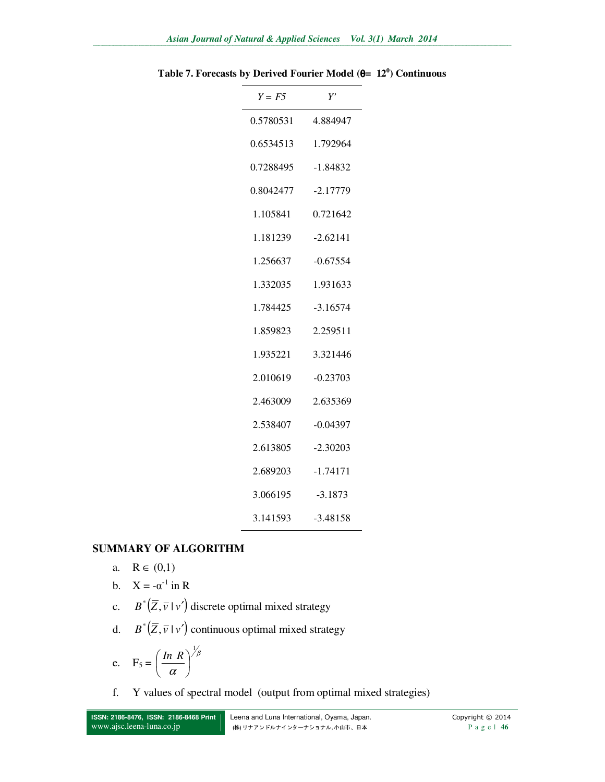| $Y = F5$  | Y'         |
|-----------|------------|
| 0.5780531 | 4.884947   |
| 0.6534513 | 1.792964   |
| 0.7288495 | $-1.84832$ |
| 0.8042477 | $-2.17779$ |
| 1.105841  | 0.721642   |
| 1.181239  | $-2.62141$ |
| 1.256637  | $-0.67554$ |
| 1.332035  | 1.931633   |
| 1.784425  | $-3.16574$ |
| 1.859823  | 2.259511   |
| 1.935221  | 3.321446   |
| 2.010619  | $-0.23703$ |
| 2.463009  | 2.635369   |
| 2.538407  | $-0.04397$ |
| 2.613805  | $-2.30203$ |
| 2.689203  | $-1.74171$ |
| 3.066195  | $-3.1873$  |
| 3.141593  | $-3.48158$ |

**Table 7. Forecasts by Derived Fourier Model (**θ**= 12<sup>0</sup> ) Continuous** 

### **SUMMARY OF ALGORITHM**

a.  $R \in (0,1)$ 

b. 
$$
X = -\alpha^{-1}
$$
 in R

- c.  $B^*(\overline{Z}, \overline{v} \mid v')$  discrete optimal mixed strategy
- d.  $B^*(\overline{Z}, \overline{v} \mid v')$  continuous optimal mixed strategy

$$
e. \quad F_5 = \left(\frac{\ln R}{\alpha}\right)^{\frac{1}{\beta}}
$$

f. Y values of spectral model (output from optimal mixed strategies)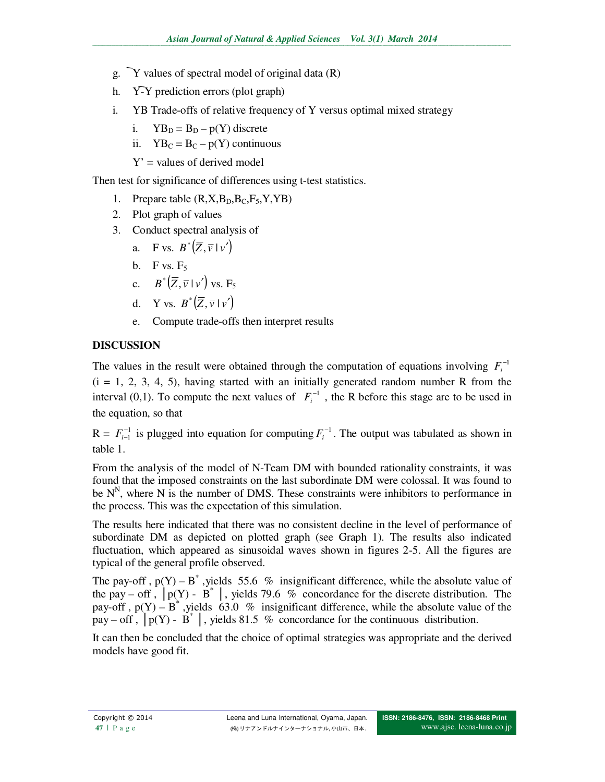- g.  $\bar{Y}$  values of spectral model of original data (R)
- h. Y-Y prediction errors (plot graph)
- i. YB Trade-offs of relative frequency of Y versus optimal mixed strategy
	- i.  $YB_D = B_D p(Y)$  discrete
	- ii.  $YB_C = B_C p(Y)$  continuous
	- $Y'$  = values of derived model

Then test for significance of differences using t-test statistics.

- 1. Prepare table  $(R, X, B_D, B_C, F_5, Y, YB)$
- 2. Plot graph of values
- 3. Conduct spectral analysis of
	- a. F vs.  $B^*(\overline{Z}, \overline{v} | v')$
	- b. F vs.  $F_5$
	- c.  $B^*(\overline{Z}, \overline{v} \mid v')$  vs.  $F_5$
	- d. Y vs.  $B^*(\overline{Z}, \overline{v} \mid v')$
	- e. Compute trade-offs then interpret results

# **DISCUSSION**

The values in the result were obtained through the computation of equations involving  $F_i^{-1}$  $(i = 1, 2, 3, 4, 5)$ , having started with an initially generated random number R from the interval (0,1). To compute the next values of  $F_i^{-1}$ , the R before this stage are to be used in the equation, so that

 $R = F_{i-1}^{-1}$  is plugged into equation for computing  $F_i^{-1}$ . The output was tabulated as shown in table 1.

From the analysis of the model of N-Team DM with bounded rationality constraints, it was found that the imposed constraints on the last subordinate DM were colossal. It was found to be  $N<sup>N</sup>$ , where N is the number of DMS. These constraints were inhibitors to performance in the process. This was the expectation of this simulation.

The results here indicated that there was no consistent decline in the level of performance of subordinate DM as depicted on plotted graph (see Graph 1). The results also indicated fluctuation, which appeared as sinusoidal waves shown in figures 2-5. All the figures are typical of the general profile observed.

The pay-off,  $p(Y) - B^*$ , yields 55.6 % insignificant difference, while the absolute value of the pay – off ,  $|p(Y) - \vec{B}^*|$ , yields 79.6 % concordance for the discrete distribution. The pay-off,  $p(Y) - B^*$ , yields 63.0 % insignificant difference, while the absolute value of the pay – off,  $|p(Y) - B^*|$ , yields 81.5 % concordance for the continuous distribution.

It can then be concluded that the choice of optimal strategies was appropriate and the derived models have good fit.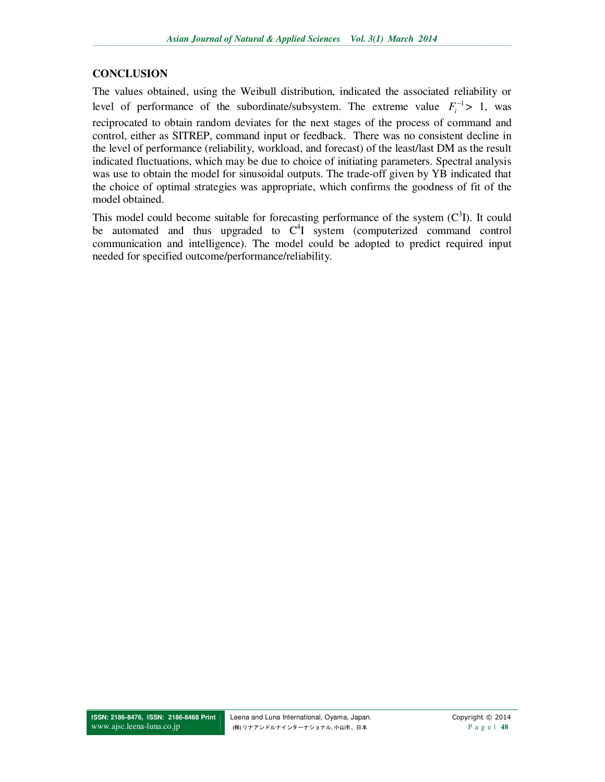# **CONCLUSION**

The values obtained, using the Weibull distribution, indicated the associated reliability or level of performance of the subordinate/subsystem. The extreme value  $F_i^{-1} > 1$ , was reciprocated to obtain random deviates for the next stages of the process of command and control, either as SITREP, command input or feedback. There was no consistent decline in the level of performance (reliability, workload, and forecast) of the least/last DM as the result indicated fluctuations, which may be due to choice of initiating parameters. Spectral analysis was use to obtain the model for sinusoidal outputs. The trade-off given by YB indicated that the choice of optimal strategies was appropriate, which confirms the goodness of fit of the model obtained.

This model could become suitable for forecasting performance of the system  $(C<sup>3</sup>I)$ . It could be automated and thus upgraded to  $C<sup>4</sup>I$  system (computerized command control communication and intelligence). The model could be adopted to predict required input needed for specified outcome/performance/reliability.